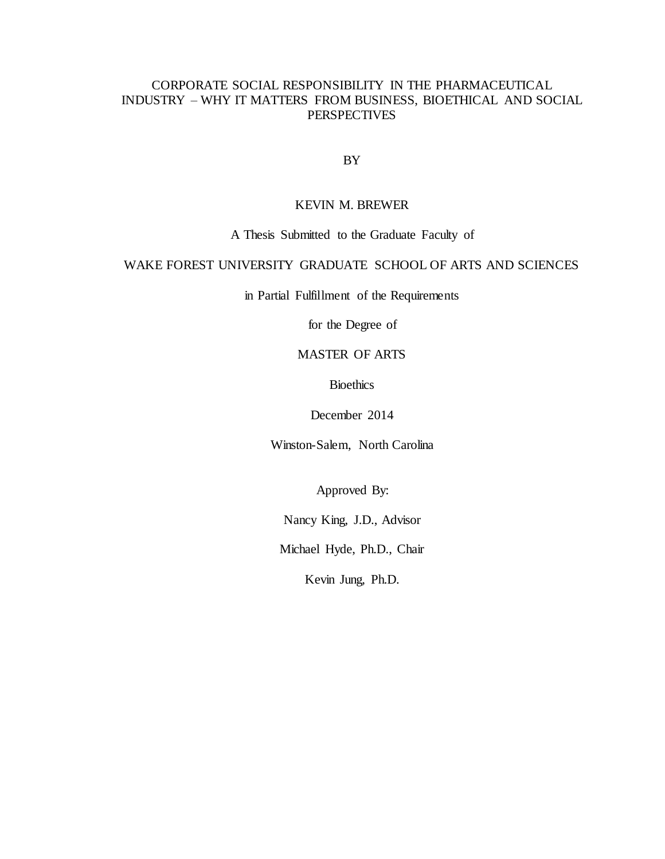# CORPORATE SOCIAL RESPONSIBILITY IN THE PHARMACEUTICAL INDUSTRY – WHY IT MATTERS FROM BUSINESS, BIOETHICAL AND SOCIAL **PERSPECTIVES**

BY

## KEVIN M. BREWER

# A Thesis Submitted to the Graduate Faculty of

# WAKE FOREST UNIVERSITY GRADUATE SCHOOL OF ARTS AND SCIENCES

in Partial Fulfillment of the Requirements

for the Degree of

# MASTER OF ARTS

**Bioethics** 

December 2014

Winston-Salem, North Carolina

Approved By:

Nancy King, J.D., Advisor

Michael Hyde, Ph.D., Chair

Kevin Jung, Ph.D.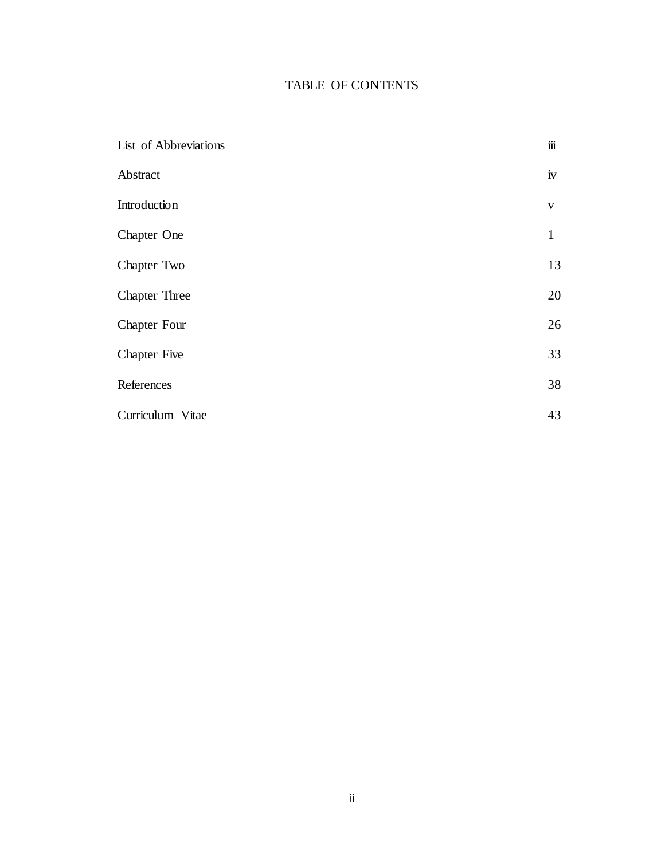# TABLE OF CONTENTS

| List of Abbreviations | $\dddot{\mathbf{m}}$ |
|-----------------------|----------------------|
| Abstract              | iv                   |
| Introduction          | $\mathbf V$          |
| Chapter One           | $\mathbf{1}$         |
| Chapter Two           | 13                   |
| <b>Chapter Three</b>  | 20                   |
| <b>Chapter Four</b>   | 26                   |
| <b>Chapter Five</b>   | 33                   |
| References            | 38                   |
| Curriculum Vitae      | 43                   |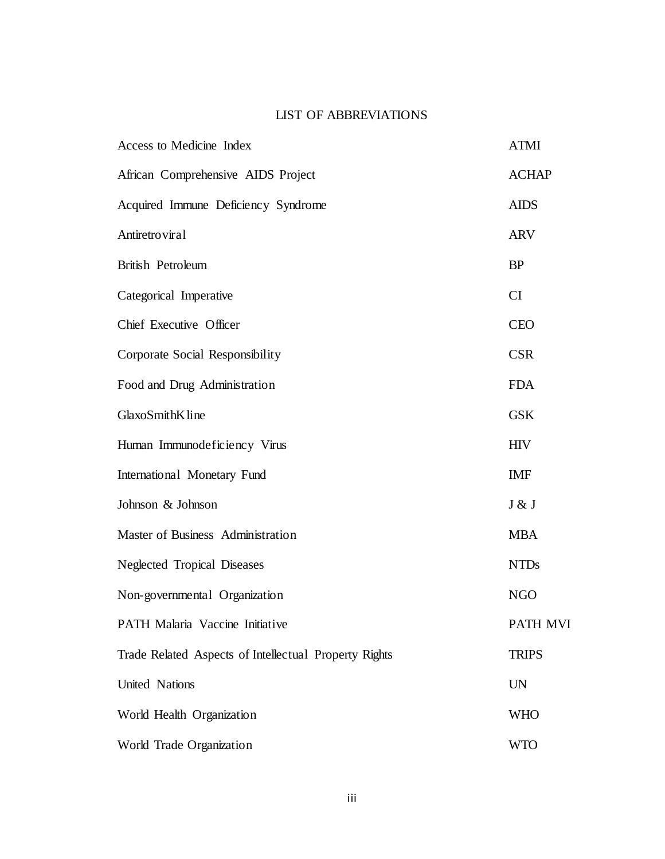# LIST OF ABBREVIATIONS

| Access to Medicine Index                              | <b>ATMI</b>  |
|-------------------------------------------------------|--------------|
| African Comprehensive AIDS Project                    | <b>ACHAP</b> |
| Acquired Immune Deficiency Syndrome                   | <b>AIDS</b>  |
| Antiretroviral                                        | <b>ARV</b>   |
| <b>British Petroleum</b>                              | <b>BP</b>    |
| Categorical Imperative                                | CI           |
| Chief Executive Officer                               | <b>CEO</b>   |
| Corporate Social Responsibility                       | <b>CSR</b>   |
| Food and Drug Administration                          | <b>FDA</b>   |
| GlaxoSmithKline                                       | <b>GSK</b>   |
| Human Immunodeficiency Virus                          | <b>HIV</b>   |
| International Monetary Fund                           | <b>IMF</b>   |
| Johnson & Johnson                                     | J & J        |
| Master of Business Administration                     | <b>MBA</b>   |
| Neglected Tropical Diseases                           | <b>NTDs</b>  |
| Non-governmental Organization                         | <b>NGO</b>   |
| PATH Malaria Vaccine Initiative                       | PATH MVI     |
| Trade Related Aspects of Intellectual Property Rights | <b>TRIPS</b> |
| United Nations                                        | <b>UN</b>    |
| World Health Organization                             | <b>WHO</b>   |
| World Trade Organization                              | <b>WTO</b>   |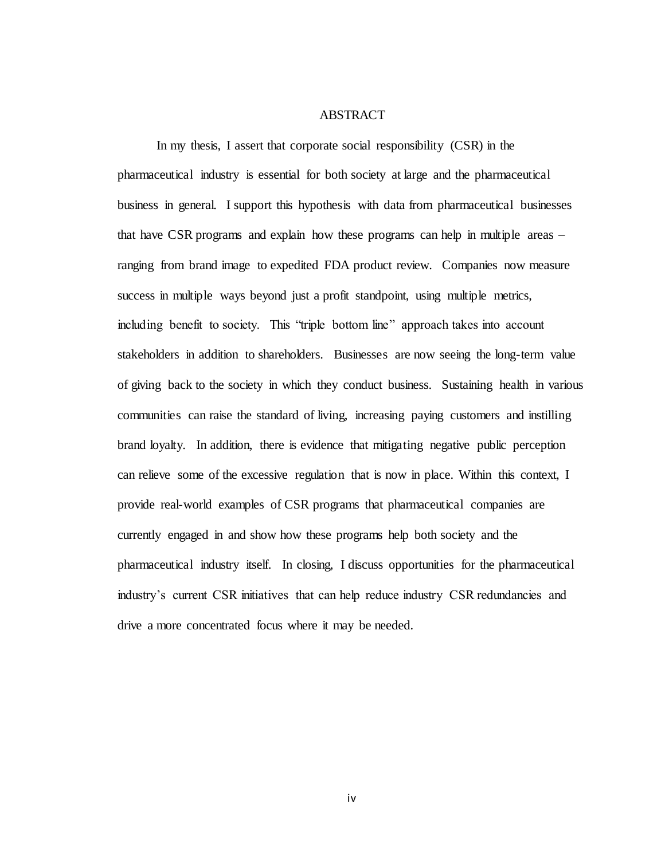### ABSTRACT

In my thesis, I assert that corporate social responsibility (CSR) in the pharmaceutical industry is essential for both society at large and the pharmaceutical business in general. I support this hypothesis with data from pharmaceutical businesses that have CSR programs and explain how these programs can help in multiple areas – ranging from brand image to expedited FDA product review. Companies now measure success in multiple ways beyond just a profit standpoint, using multiple metrics, including benefit to society. This "triple bottom line" approach takes into account stakeholders in addition to shareholders. Businesses are now seeing the long-term value of giving back to the society in which they conduct business. Sustaining health in various communities can raise the standard of living, increasing paying customers and instilling brand loyalty. In addition, there is evidence that mitigating negative public perception can relieve some of the excessive regulation that is now in place. Within this context, I provide real-world examples of CSR programs that pharmaceutical companies are currently engaged in and show how these programs help both society and the pharmaceutical industry itself. In closing, I discuss opportunities for the pharmaceutical industry's current CSR initiatives that can help reduce industry CSR redundancies and drive a more concentrated focus where it may be needed.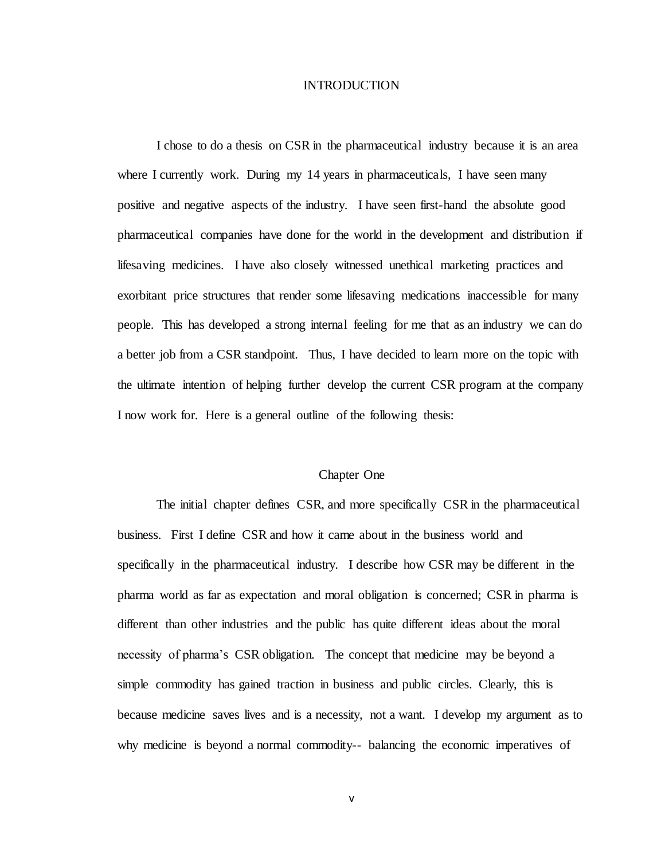### INTRODUCTION

I chose to do a thesis on CSR in the pharmaceutical industry because it is an area where I currently work. During my 14 years in pharmaceuticals, I have seen many positive and negative aspects of the industry. I have seen first-hand the absolute good pharmaceutical companies have done for the world in the development and distribution if lifesaving medicines. I have also closely witnessed unethical marketing practices and exorbitant price structures that render some lifesaving medications inaccessible for many people. This has developed a strong internal feeling for me that as an industry we can do a better job from a CSR standpoint. Thus, I have decided to learn more on the topic with the ultimate intention of helping further develop the current CSR program at the company I now work for. Here is a general outline of the following thesis:

#### Chapter One

The initial chapter defines CSR, and more specifically CSR in the pharmaceutical business. First I define CSR and how it came about in the business world and specifically in the pharmaceutical industry. I describe how CSR may be different in the pharma world as far as expectation and moral obligation is concerned; CSR in pharma is different than other industries and the public has quite different ideas about the moral necessity of pharma's CSR obligation. The concept that medicine may be beyond a simple commodity has gained traction in business and public circles. Clearly, this is because medicine saves lives and is a necessity, not a want. I develop my argument as to why medicine is beyond a normal commodity-- balancing the economic imperatives of

v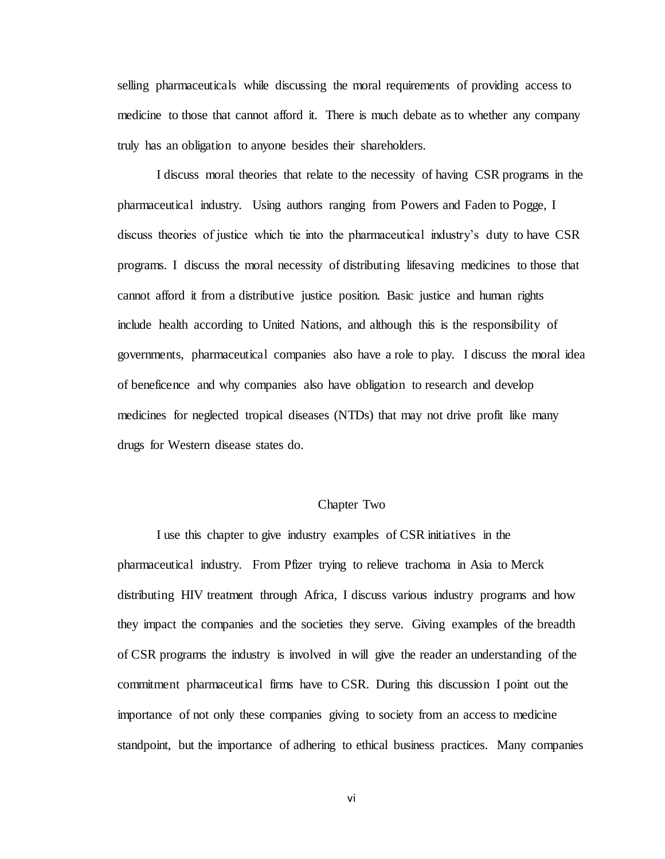selling pharmaceuticals while discussing the moral requirements of providing access to medicine to those that cannot afford it. There is much debate as to whether any company truly has an obligation to anyone besides their shareholders.

I discuss moral theories that relate to the necessity of having CSR programs in the pharmaceutical industry. Using authors ranging from Powers and Faden to Pogge, I discuss theories of justice which tie into the pharmaceutical industry's duty to have CSR programs. I discuss the moral necessity of distributing lifesaving medicines to those that cannot afford it from a distributive justice position. Basic justice and human rights include health according to United Nations, and although this is the responsibility of governments, pharmaceutical companies also have a role to play. I discuss the moral idea of beneficence and why companies also have obligation to research and develop medicines for neglected tropical diseases (NTDs) that may not drive profit like many drugs for Western disease states do.

### Chapter Two

I use this chapter to give industry examples of CSR initiatives in the pharmaceutical industry. From Pfizer trying to relieve trachoma in Asia to Merck distributing HIV treatment through Africa, I discuss various industry programs and how they impact the companies and the societies they serve. Giving examples of the breadth of CSR programs the industry is involved in will give the reader an understanding of the commitment pharmaceutical firms have to CSR. During this discussion I point out the importance of not only these companies giving to society from an access to medicine standpoint, but the importance of adhering to ethical business practices. Many companies

vi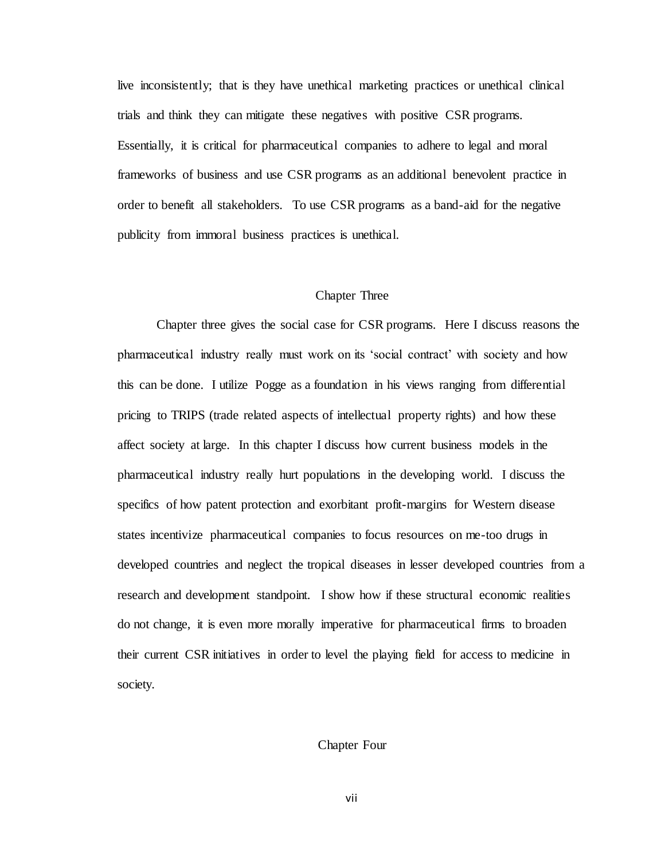live inconsistently; that is they have unethical marketing practices or unethical clinical trials and think they can mitigate these negatives with positive CSR programs. Essentially, it is critical for pharmaceutical companies to adhere to legal and moral frameworks of business and use CSR programs as an additional benevolent practice in order to benefit all stakeholders. To use CSR programs as a band-aid for the negative publicity from immoral business practices is unethical.

### Chapter Three

Chapter three gives the social case for CSR programs. Here I discuss reasons the pharmaceutical industry really must work on its 'social contract' with society and how this can be done. I utilize Pogge as a foundation in his views ranging from differential pricing to TRIPS (trade related aspects of intellectual property rights) and how these affect society at large. In this chapter I discuss how current business models in the pharmaceutical industry really hurt populations in the developing world. I discuss the specifics of how patent protection and exorbitant profit-margins for Western disease states incentivize pharmaceutical companies to focus resources on me-too drugs in developed countries and neglect the tropical diseases in lesser developed countries from a research and development standpoint. I show how if these structural economic realities do not change, it is even more morally imperative for pharmaceutical firms to broaden their current CSR initiatives in order to level the playing field for access to medicine in society.

## Chapter Four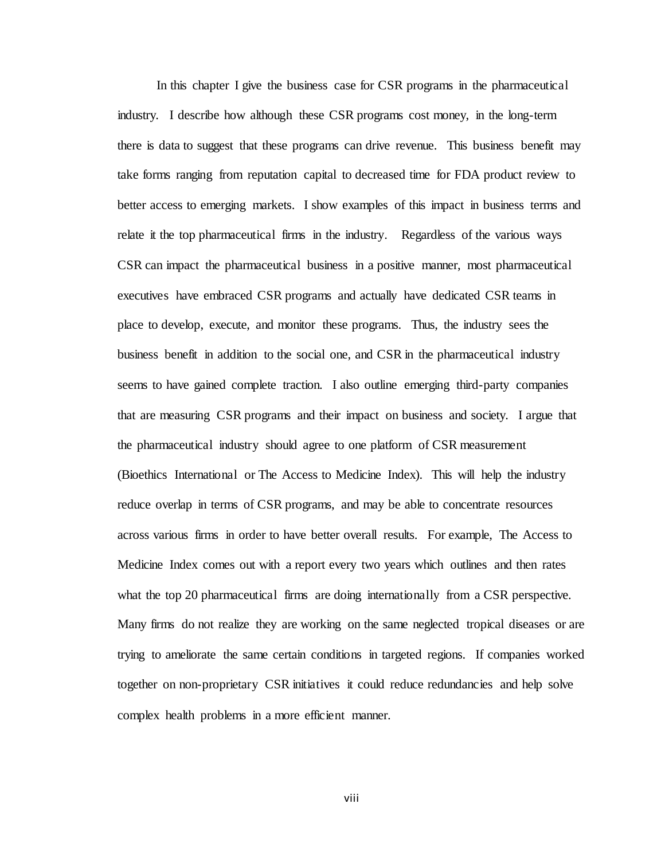In this chapter I give the business case for CSR programs in the pharmaceutical industry. I describe how although these CSR programs cost money, in the long-term there is data to suggest that these programs can drive revenue. This business benefit may take forms ranging from reputation capital to decreased time for FDA product review to better access to emerging markets. I show examples of this impact in business terms and relate it the top pharmaceutical firms in the industry. Regardless of the various ways CSR can impact the pharmaceutical business in a positive manner, most pharmaceutical executives have embraced CSR programs and actually have dedicated CSR teams in place to develop, execute, and monitor these programs. Thus, the industry sees the business benefit in addition to the social one, and CSR in the pharmaceutical industry seems to have gained complete traction. I also outline emerging third-party companies that are measuring CSR programs and their impact on business and society. I argue that the pharmaceutical industry should agree to one platform of CSR measurement (Bioethics International or The Access to Medicine Index). This will help the industry reduce overlap in terms of CSR programs, and may be able to concentrate resources across various firms in order to have better overall results. For example, The Access to Medicine Index comes out with a report every two years which outlines and then rates what the top 20 pharmaceutical firms are doing internationally from a CSR perspective. Many firms do not realize they are working on the same neglected tropical diseases or are trying to ameliorate the same certain conditions in targeted regions. If companies worked together on non-proprietary CSR initiatives it could reduce redundancies and help solve complex health problems in a more efficient manner.

viii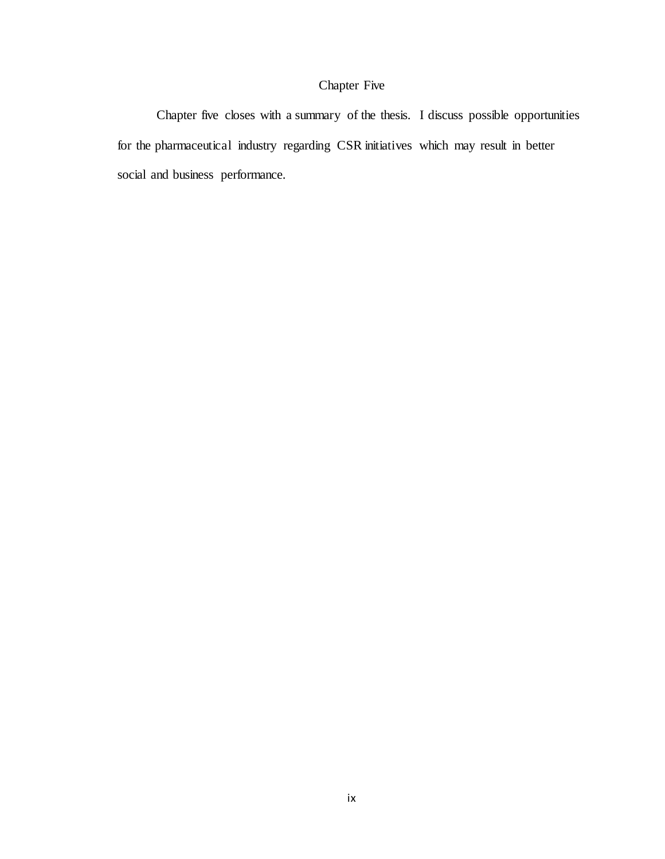# Chapter Five

Chapter five closes with a summary of the thesis. I discuss possible opportunities for the pharmaceutical industry regarding CSR initiatives which may result in better social and business performance.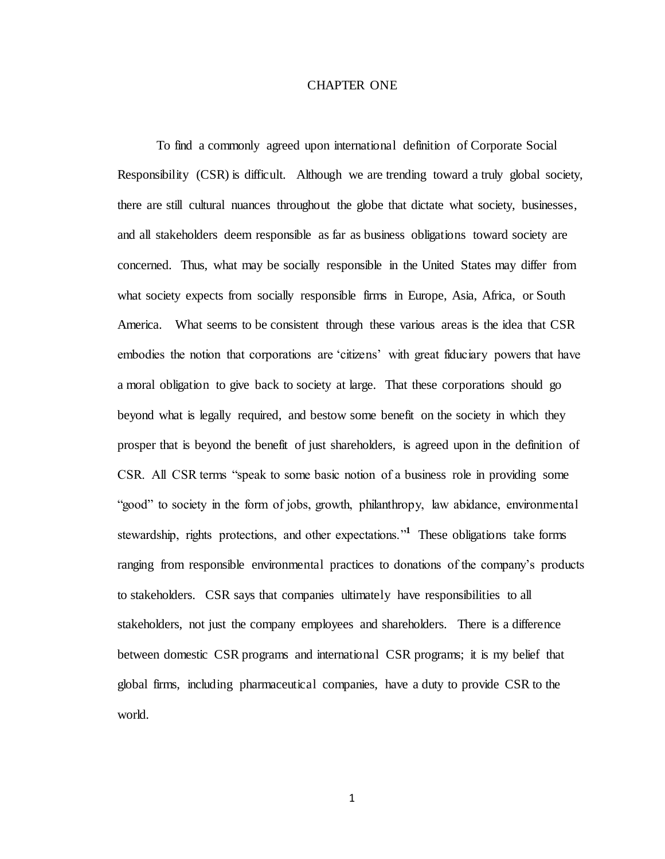### CHAPTER ONE

To find a commonly agreed upon international definition of Corporate Social Responsibility (CSR) is difficult. Although we are trending toward a truly global society, there are still cultural nuances throughout the globe that dictate what society, businesses, and all stakeholders deem responsible as far as business obligations toward society are concerned. Thus, what may be socially responsible in the United States may differ from what society expects from socially responsible firms in Europe, Asia, Africa, or South America. What seems to be consistent through these various areas is the idea that CSR embodies the notion that corporations are 'citizens' with great fiduciary powers that have a moral obligation to give back to society at large. That these corporations should go beyond what is legally required, and bestow some benefit on the society in which they prosper that is beyond the benefit of just shareholders, is agreed upon in the definition of CSR. All CSR terms "speak to some basic notion of a business role in providing some "good" to society in the form of jobs, growth, philanthropy, law abidance, environmental stewardship, rights protections, and other expectations."**<sup>1</sup>** These obligations take forms ranging from responsible environmental practices to donations of the company's products to stakeholders. CSR says that companies ultimately have responsibilities to all stakeholders, not just the company employees and shareholders. There is a difference between domestic CSR programs and international CSR programs; it is my belief that global firms, including pharmaceutical companies, have a duty to provide CSR to the world.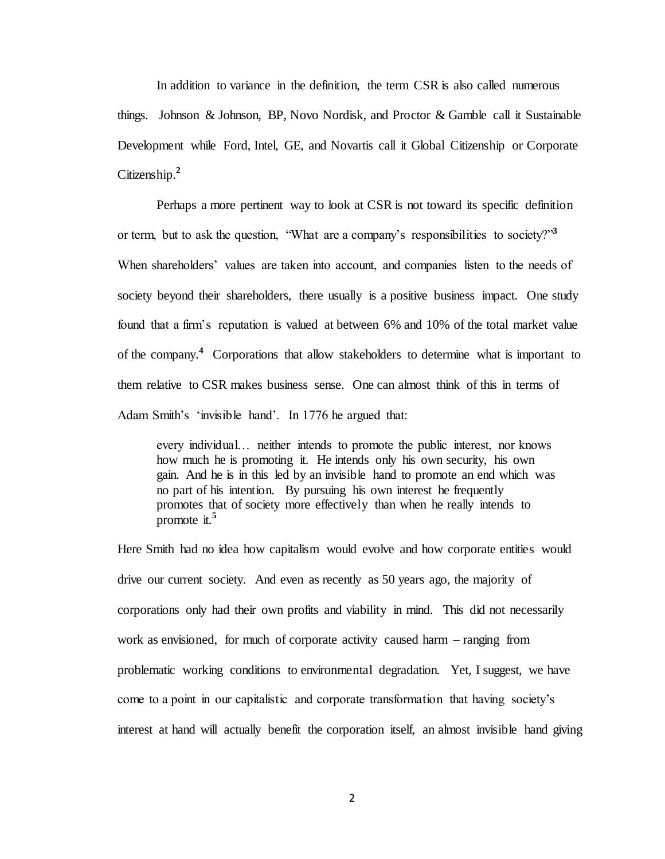In addition to variance in the definition, the term CSR is also called numerous things. Johnson & Johnson, BP, Novo Nordisk, and Proctor & Gamble call it Sustainable Development while Ford, Intel, GE, and Novartis call it Global Citizenship or Corporate Citizenship.**<sup>2</sup>**

Perhaps a more pertinent way to look at CSR is not toward its specific definition or term, but to ask the question, "What are a company's responsibilities to society?"**<sup>3</sup>** When shareholders' values are taken into account, and companies listen to the needs of society beyond their shareholders, there usually is a positive business impact. One study found that a firm's reputation is valued at between 6% and 10% of the total market value of the company.**<sup>4</sup>** Corporations that allow stakeholders to determine what is important to them relative to CSR makes business sense. One can almost think of this in terms of Adam Smith's 'invisible hand'. In 1776 he argued that:

every individual… neither intends to promote the public interest, nor knows how much he is promoting it. He intends only his own security, his own gain. And he is in this led by an invisible hand to promote an end which was no part of his intention. By pursuing his own interest he frequently promotes that of society more effectively than when he really intends to promote it.**<sup>5</sup>**

Here Smith had no idea how capitalism would evolve and how corporate entities would drive our current society. And even as recently as 50 years ago, the majority of corporations only had their own profits and viability in mind. This did not necessarily work as envisioned, for much of corporate activity caused harm – ranging from problematic working conditions to environmental degradation. Yet, I suggest, we have come to a point in our capitalistic and corporate transformation that having society's interest at hand will actually benefit the corporation itself, an almost invisible hand giving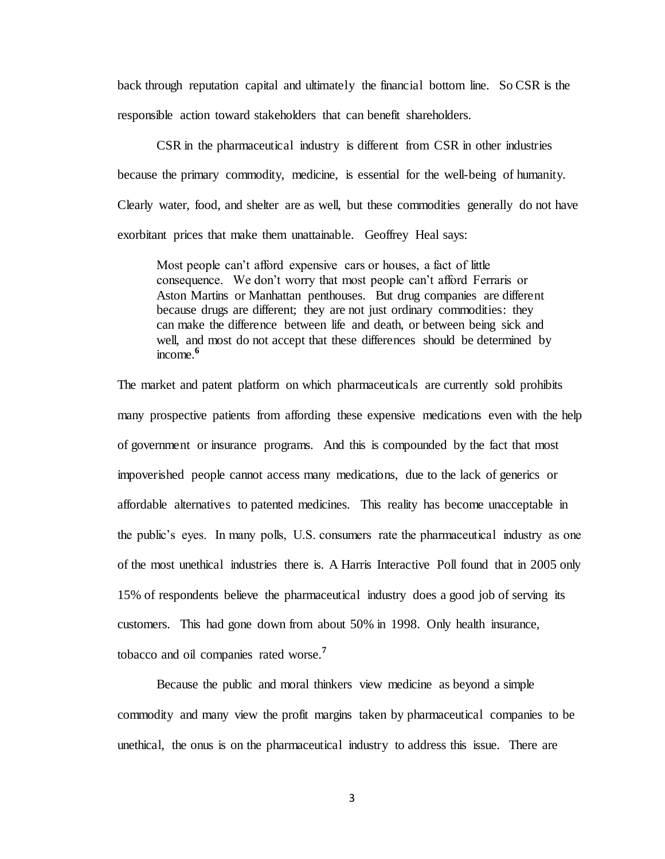back through reputation capital and ultimately the financial bottom line. So CSR is the responsible action toward stakeholders that can benefit shareholders.

CSR in the pharmaceutical industry is different from CSR in other industries because the primary commodity, medicine, is essential for the well-being of humanity. Clearly water, food, and shelter are as well, but these commodities generally do not have exorbitant prices that make them unattainable. Geoffrey Heal says:

Most people can't afford expensive cars or houses, a fact of little consequence. We don't worry that most people can't afford Ferraris or Aston Martins or Manhattan penthouses. But drug companies are different because drugs are different; they are not just ordinary commodities: they can make the difference between life and death, or between being sick and well, and most do not accept that these differences should be determined by income.**<sup>6</sup>** 

The market and patent platform on which pharmaceuticals are currently sold prohibits many prospective patients from affording these expensive medications even with the help of government or insurance programs. And this is compounded by the fact that most impoverished people cannot access many medications, due to the lack of generics or affordable alternatives to patented medicines. This reality has become unacceptable in the public's eyes. In many polls, U.S. consumers rate the pharmaceutical industry as one of the most unethical industries there is. A Harris Interactive Poll found that in 2005 only 15% of respondents believe the pharmaceutical industry does a good job of serving its customers. This had gone down from about 50% in 1998. Only health insurance, tobacco and oil companies rated worse.**<sup>7</sup>** 

Because the public and moral thinkers view medicine as beyond a simple commodity and many view the profit margins taken by pharmaceutical companies to be unethical, the onus is on the pharmaceutical industry to address this issue. There are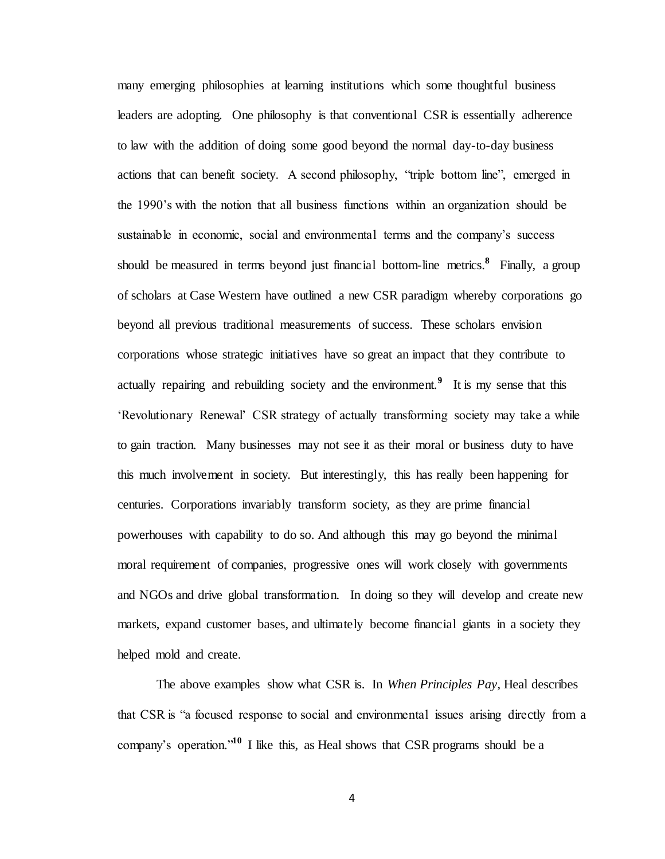many emerging philosophies at learning institutions which some thoughtful business leaders are adopting. One philosophy is that conventional CSR is essentially adherence to law with the addition of doing some good beyond the normal day-to-day business actions that can benefit society. A second philosophy, "triple bottom line", emerged in the 1990's with the notion that all business functions within an organization should be sustainable in economic, social and environmental terms and the company's success should be measured in terms beyond just financial bottom-line metrics.<sup>8</sup> Finally, a group of scholars at Case Western have outlined a new CSR paradigm whereby corporations go beyond all previous traditional measurements of success. These scholars envision corporations whose strategic initiatives have so great an impact that they contribute to actually repairing and rebuilding society and the environment.**<sup>9</sup>** It is my sense that this 'Revolutionary Renewal' CSR strategy of actually transforming society may take a while to gain traction. Many businesses may not see it as their moral or business duty to have this much involvement in society. But interestingly, this has really been happening for centuries. Corporations invariably transform society, as they are prime financial powerhouses with capability to do so. And although this may go beyond the minimal moral requirement of companies, progressive ones will work closely with governments and NGOs and drive global transformation. In doing so they will develop and create new markets, expand customer bases, and ultimately become financial giants in a society they helped mold and create.

The above examples show what CSR is. In *When Principles Pay*, Heal describes that CSR is "a focused response to social and environmental issues arising directly from a company's operation." **<sup>10</sup>** I like this, as Heal shows that CSR programs should be a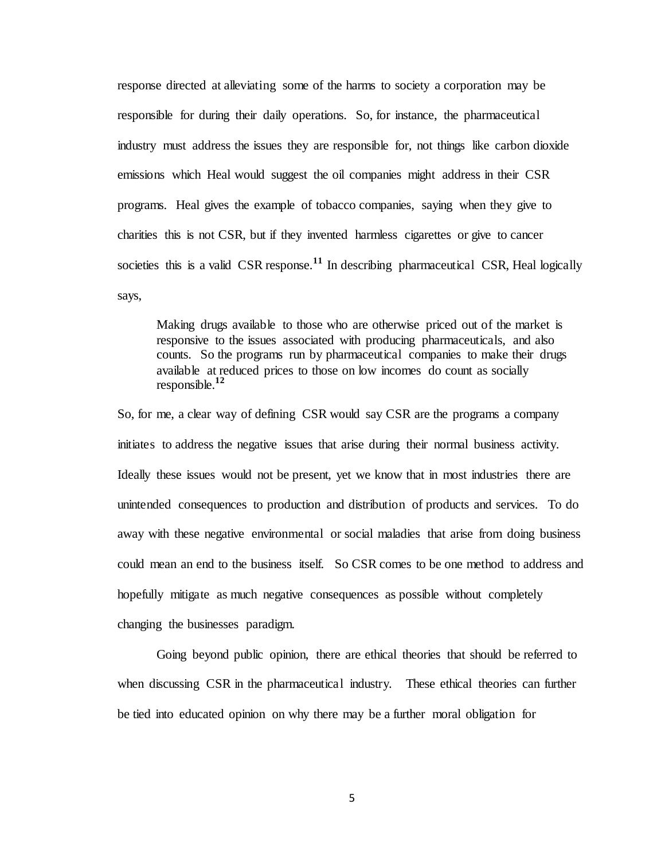response directed at alleviating some of the harms to society a corporation may be responsible for during their daily operations. So, for instance, the pharmaceutical industry must address the issues they are responsible for, not things like carbon dioxide emissions which Heal would suggest the oil companies might address in their CSR programs. Heal gives the example of tobacco companies, saying when they give to charities this is not CSR, but if they invented harmless cigarettes or give to cancer societies this is a valid CSR response.<sup>11</sup> In describing pharmaceutical CSR, Heal logically says,

Making drugs available to those who are otherwise priced out of the market is responsive to the issues associated with producing pharmaceuticals, and also counts. So the programs run by pharmaceutical companies to make their drugs available at reduced prices to those on low incomes do count as socially responsible.**<sup>12</sup>**

So, for me, a clear way of defining CSR would say CSR are the programs a company initiates to address the negative issues that arise during their normal business activity. Ideally these issues would not be present, yet we know that in most industries there are unintended consequences to production and distribution of products and services. To do away with these negative environmental or social maladies that arise from doing business could mean an end to the business itself. So CSR comes to be one method to address and hopefully mitigate as much negative consequences as possible without completely changing the businesses paradigm.

Going beyond public opinion, there are ethical theories that should be referred to when discussing CSR in the pharmaceutical industry. These ethical theories can further be tied into educated opinion on why there may be a further moral obligation for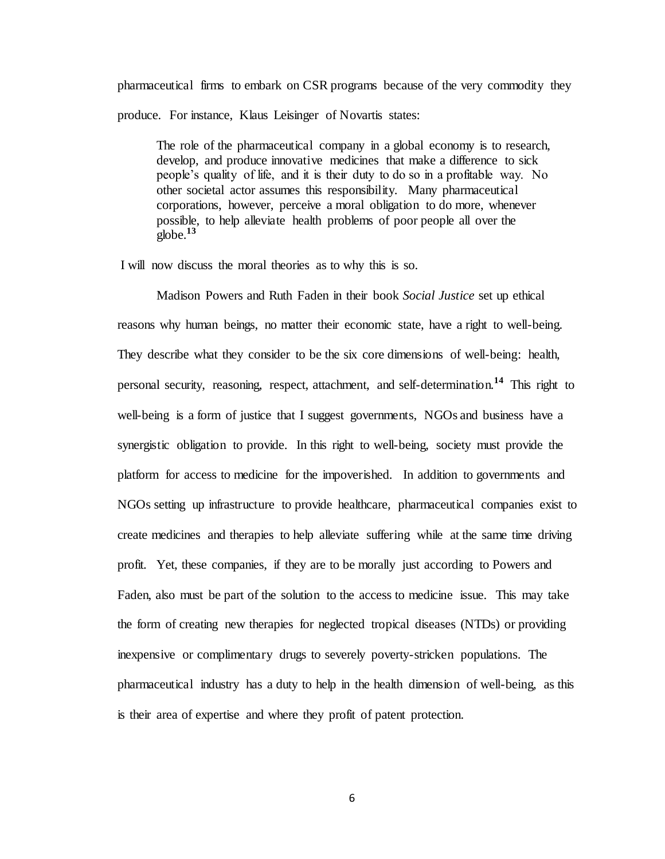pharmaceutical firms to embark on CSR programs because of the very commodity they produce. For instance, Klaus Leisinger of Novartis states:

The role of the pharmaceutical company in a global economy is to research, develop, and produce innovative medicines that make a difference to sick people's quality of life, and it is their duty to do so in a profitable way. No other societal actor assumes this responsibility. Many pharmaceutical corporations, however, perceive a moral obligation to do more, whenever possible, to help alleviate health problems of poor people all over the  $g$ <sub>o</sub>lobe.<sup>13</sup>

I will now discuss the moral theories as to why this is so.

Madison Powers and Ruth Faden in their book *Social Justice* set up ethical reasons why human beings, no matter their economic state, have a right to well-being. They describe what they consider to be the six core dimensions of well-being: health, personal security, reasoning, respect, attachment, and self-determination.**<sup>14</sup>** This right to well-being is a form of justice that I suggest governments, NGOs and business have a synergistic obligation to provide. In this right to well-being, society must provide the platform for access to medicine for the impoverished. In addition to governments and NGOs setting up infrastructure to provide healthcare, pharmaceutical companies exist to create medicines and therapies to help alleviate suffering while at the same time driving profit. Yet, these companies, if they are to be morally just according to Powers and Faden, also must be part of the solution to the access to medicine issue. This may take the form of creating new therapies for neglected tropical diseases (NTDs) or providing inexpensive or complimentary drugs to severely poverty-stricken populations. The pharmaceutical industry has a duty to help in the health dimension of well-being, as this is their area of expertise and where they profit of patent protection.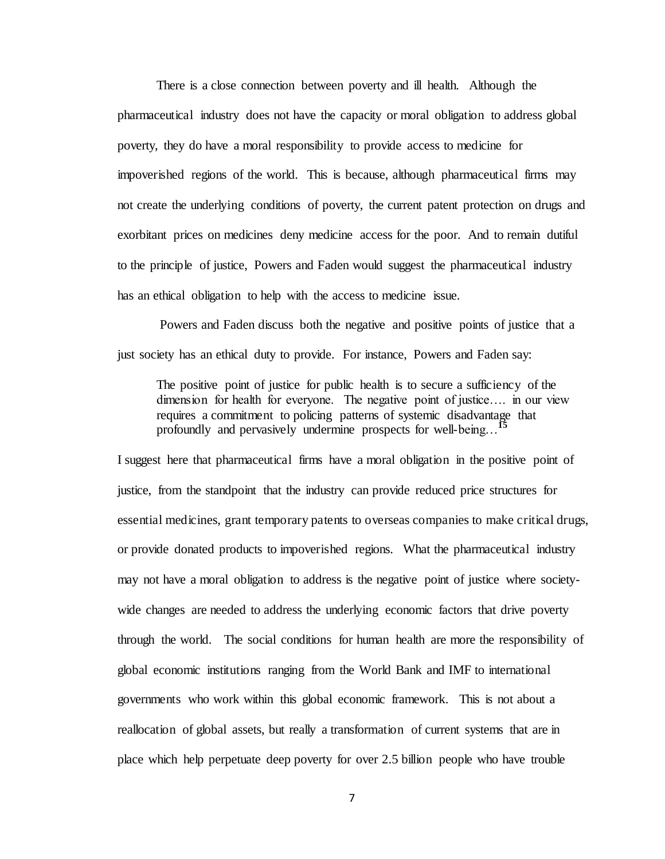There is a close connection between poverty and ill health. Although the pharmaceutical industry does not have the capacity or moral obligation to address global poverty, they do have a moral responsibility to provide access to medicine for impoverished regions of the world. This is because, although pharmaceutical firms may not create the underlying conditions of poverty, the current patent protection on drugs and exorbitant prices on medicines deny medicine access for the poor. And to remain dutiful to the principle of justice, Powers and Faden would suggest the pharmaceutical industry has an ethical obligation to help with the access to medicine issue.

Powers and Faden discuss both the negative and positive points of justice that a just society has an ethical duty to provide. For instance, Powers and Faden say:

The positive point of justice for public health is to secure a sufficiency of the dimension for health for everyone. The negative point of justice…. in our view requires a commitment to policing patterns of systemic disadvantage that profoundly and pervasively undermine prospects for well-being…**<sup>15</sup>**

I suggest here that pharmaceutical firms have a moral obligation in the positive point of justice, from the standpoint that the industry can provide reduced price structures for essential medicines, grant temporary patents to overseas companies to make critical drugs, or provide donated products to impoverished regions. What the pharmaceutical industry may not have a moral obligation to address is the negative point of justice where societywide changes are needed to address the underlying economic factors that drive poverty through the world. The social conditions for human health are more the responsibility of global economic institutions ranging from the World Bank and IMF to international governments who work within this global economic framework. This is not about a reallocation of global assets, but really a transformation of current systems that are in place which help perpetuate deep poverty for over 2.5 billion people who have trouble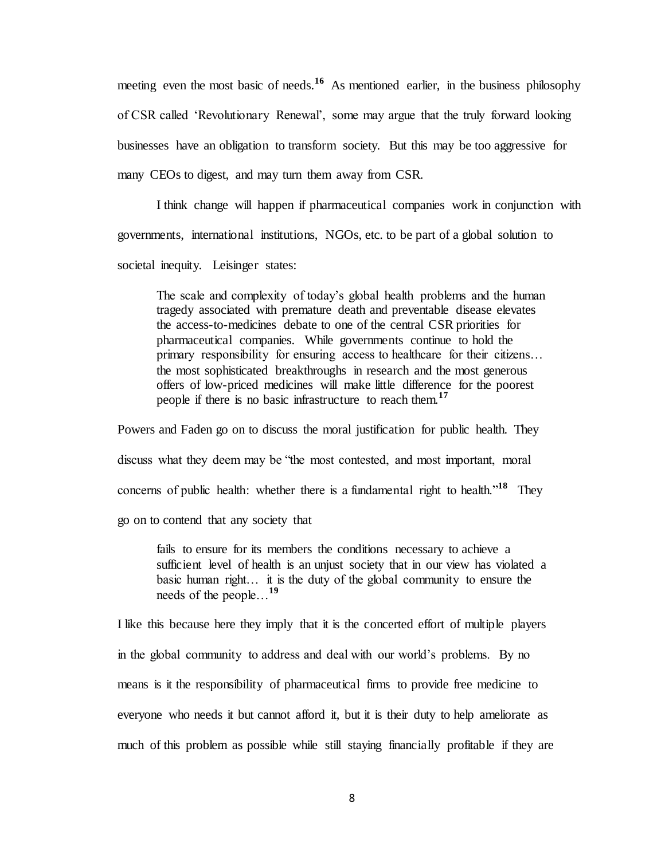meeting even the most basic of needs.<sup>16</sup> As mentioned earlier, in the business philosophy of CSR called 'Revolutionary Renewal', some may argue that the truly forward looking businesses have an obligation to transform society. But this may be too aggressive for many CEOs to digest, and may turn them away from CSR.

I think change will happen if pharmaceutical companies work in conjunction with governments, international institutions, NGOs, etc. to be part of a global solution to societal inequity. Leisinger states:

The scale and complexity of today's global health problems and the human tragedy associated with premature death and preventable disease elevates the access-to-medicines debate to one of the central CSR priorities for pharmaceutical companies. While governments continue to hold the primary responsibility for ensuring access to healthcare for their citizens… the most sophisticated breakthroughs in research and the most generous offers of low-priced medicines will make little difference for the poorest people if there is no basic infrastructure to reach them.**<sup>17</sup>** 

Powers and Faden go on to discuss the moral justification for public health. They discuss what they deem may be "the most contested, and most important, moral concerns of public health: whether there is a fundamental right to health."**<sup>18</sup>** They go on to contend that any society that

fails to ensure for its members the conditions necessary to achieve a sufficient level of health is an unjust society that in our view has violated a basic human right… it is the duty of the global community to ensure the needs of the people…**<sup>19</sup>**

I like this because here they imply that it is the concerted effort of multiple players in the global community to address and deal with our world's problems. By no means is it the responsibility of pharmaceutical firms to provide free medicine to everyone who needs it but cannot afford it, but it is their duty to help ameliorate as much of this problem as possible while still staying financially profitable if they are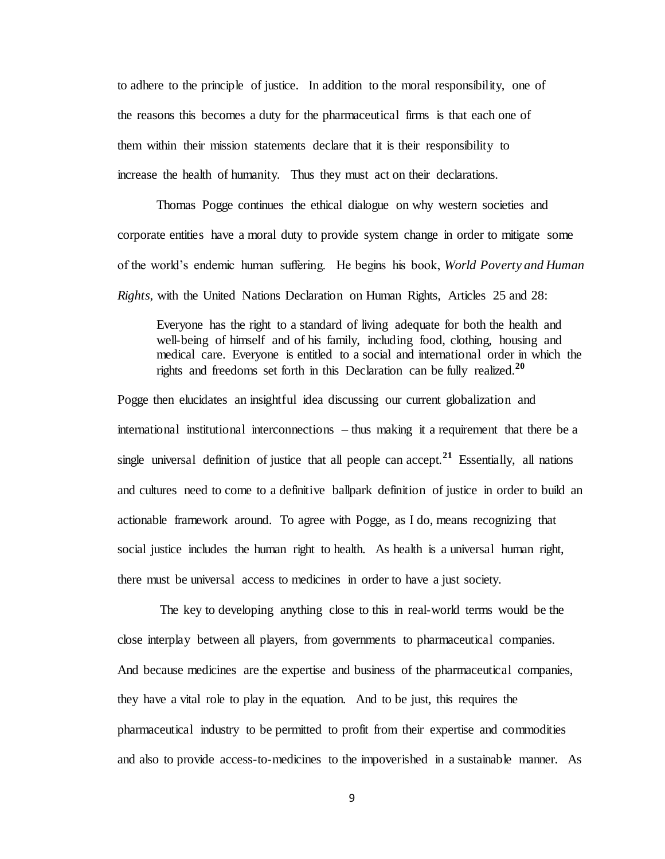to adhere to the principle of justice. In addition to the moral responsibility, one of the reasons this becomes a duty for the pharmaceutical firms is that each one of them within their mission statements declare that it is their responsibility to increase the health of humanity. Thus they must act on their declarations.

Thomas Pogge continues the ethical dialogue on why western societies and corporate entities have a moral duty to provide system change in order to mitigate some of the world's endemic human suffering. He begins his book, *World Poverty and Human Rights*, with the United Nations Declaration on Human Rights, Articles 25 and 28:

Everyone has the right to a standard of living adequate for both the health and well-being of himself and of his family, including food, clothing, housing and medical care. Everyone is entitled to a social and international order in which the rights and freedoms set forth in this Declaration can be fully realized.**<sup>20</sup>** 

Pogge then elucidates an insightful idea discussing our current globalization and international institutional interconnections – thus making it a requirement that there be a single universal definition of justice that all people can accept.<sup>21</sup> Essentially, all nations and cultures need to come to a definitive ballpark definition of justice in order to build an actionable framework around. To agree with Pogge, as I do, means recognizing that social justice includes the human right to health. As health is a universal human right, there must be universal access to medicines in order to have a just society.

The key to developing anything close to this in real-world terms would be the close interplay between all players, from governments to pharmaceutical companies. And because medicines are the expertise and business of the pharmaceutical companies, they have a vital role to play in the equation. And to be just, this requires the pharmaceutical industry to be permitted to profit from their expertise and commodities and also to provide access-to-medicines to the impoverished in a sustainable manner. As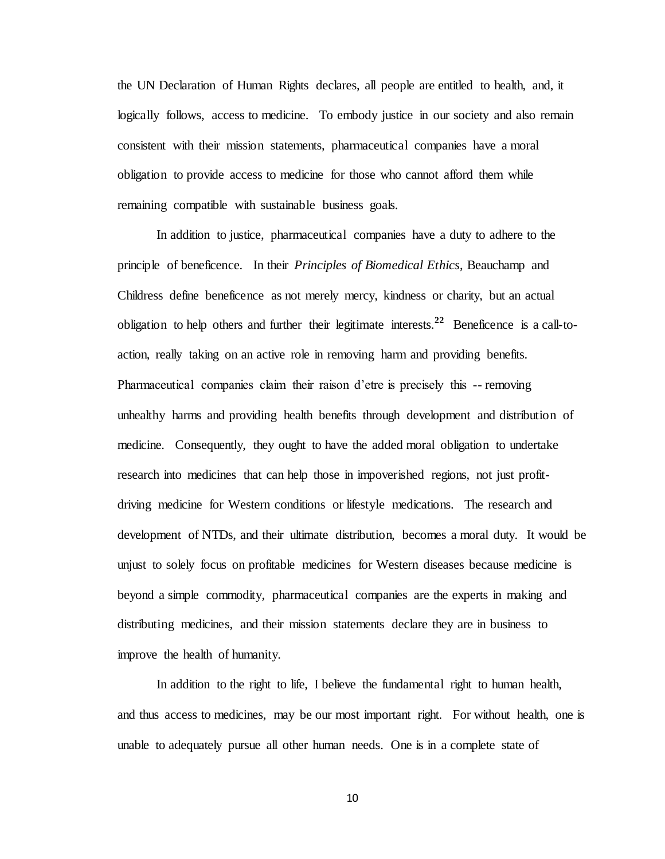the UN Declaration of Human Rights declares, all people are entitled to health, and, it logically follows, access to medicine. To embody justice in our society and also remain consistent with their mission statements, pharmaceutical companies have a moral obligation to provide access to medicine for those who cannot afford them while remaining compatible with sustainable business goals.

In addition to justice, pharmaceutical companies have a duty to adhere to the principle of beneficence. In their *Principles of Biomedical Ethics*, Beauchamp and Childress define beneficence as not merely mercy, kindness or charity, but an actual obligation to help others and further their legitimate interests.**<sup>22</sup>** Beneficence is a call-toaction, really taking on an active role in removing harm and providing benefits. Pharmaceutical companies claim their raison d'etre is precisely this -- removing unhealthy harms and providing health benefits through development and distribution of medicine. Consequently, they ought to have the added moral obligation to undertake research into medicines that can help those in impoverished regions, not just profitdriving medicine for Western conditions or lifestyle medications. The research and development of NTDs, and their ultimate distribution, becomes a moral duty. It would be unjust to solely focus on profitable medicines for Western diseases because medicine is beyond a simple commodity, pharmaceutical companies are the experts in making and distributing medicines, and their mission statements declare they are in business to improve the health of humanity.

In addition to the right to life, I believe the fundamental right to human health, and thus access to medicines, may be our most important right. For without health, one is unable to adequately pursue all other human needs. One is in a complete state of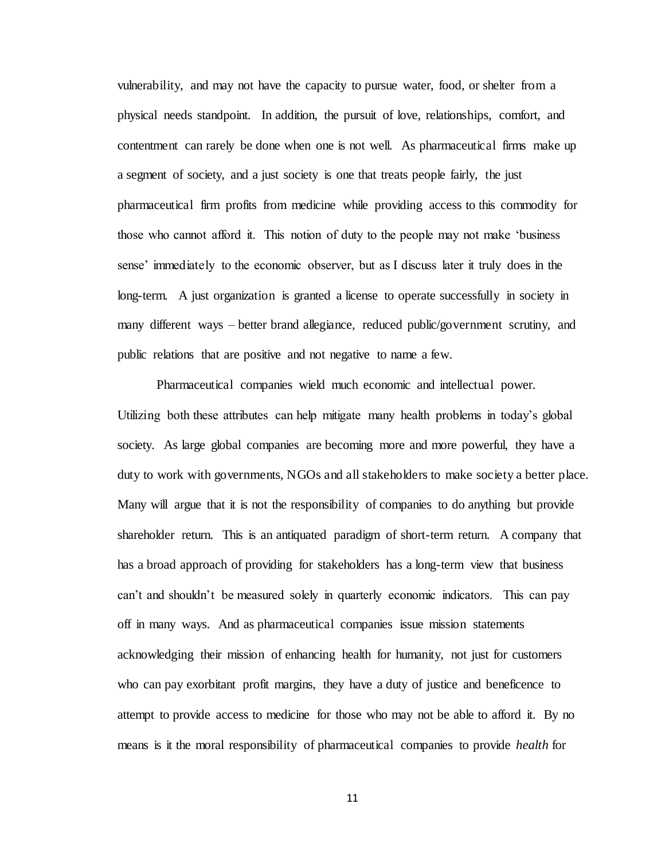vulnerability, and may not have the capacity to pursue water, food, or shelter from a physical needs standpoint. In addition, the pursuit of love, relationships, comfort, and contentment can rarely be done when one is not well. As pharmaceutical firms make up a segment of society, and a just society is one that treats people fairly, the just pharmaceutical firm profits from medicine while providing access to this commodity for those who cannot afford it. This notion of duty to the people may not make 'business sense' immediately to the economic observer, but as I discuss later it truly does in the long-term. A just organization is granted a license to operate successfully in society in many different ways – better brand allegiance, reduced public/government scrutiny, and public relations that are positive and not negative to name a few.

Pharmaceutical companies wield much economic and intellectual power. Utilizing both these attributes can help mitigate many health problems in today's global society. As large global companies are becoming more and more powerful, they have a duty to work with governments, NGOs and all stakeholders to make society a better place. Many will argue that it is not the responsibility of companies to do anything but provide shareholder return. This is an antiquated paradigm of short-term return. A company that has a broad approach of providing for stakeholders has a long-term view that business can't and shouldn't be measured solely in quarterly economic indicators. This can pay off in many ways. And as pharmaceutical companies issue mission statements acknowledging their mission of enhancing health for humanity, not just for customers who can pay exorbitant profit margins, they have a duty of justice and beneficence to attempt to provide access to medicine for those who may not be able to afford it. By no means is it the moral responsibility of pharmaceutical companies to provide *health* for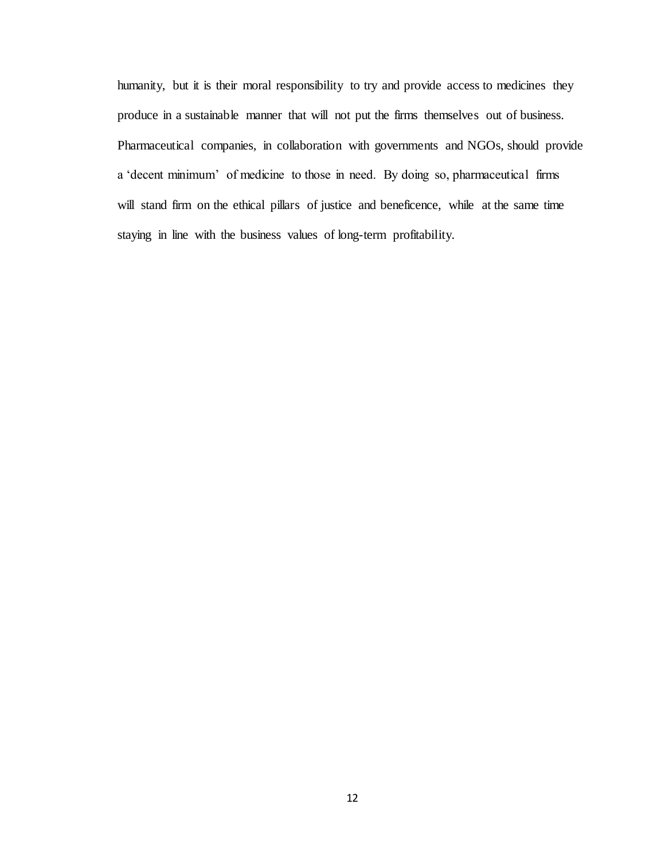humanity, but it is their moral responsibility to try and provide access to medicines they produce in a sustainable manner that will not put the firms themselves out of business. Pharmaceutical companies, in collaboration with governments and NGOs, should provide a 'decent minimum' of medicine to those in need. By doing so, pharmaceutical firms will stand firm on the ethical pillars of justice and beneficence, while at the same time staying in line with the business values of long-term profitability.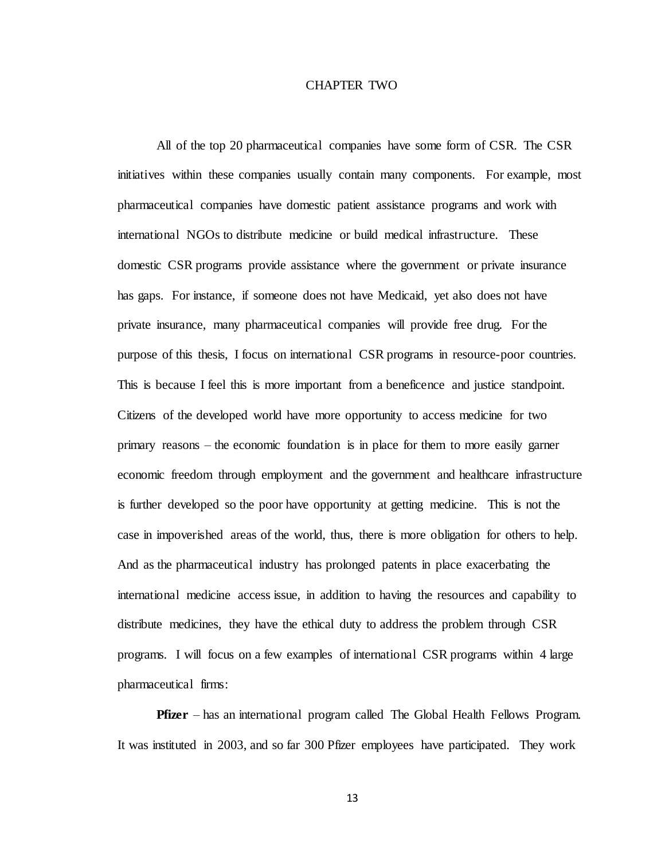## CHAPTER TWO

All of the top 20 pharmaceutical companies have some form of CSR. The CSR initiatives within these companies usually contain many components. For example, most pharmaceutical companies have domestic patient assistance programs and work with international NGOs to distribute medicine or build medical infrastructure. These domestic CSR programs provide assistance where the government or private insurance has gaps. For instance, if someone does not have Medicaid, yet also does not have private insurance, many pharmaceutical companies will provide free drug. For the purpose of this thesis, I focus on international CSR programs in resource-poor countries. This is because I feel this is more important from a beneficence and justice standpoint. Citizens of the developed world have more opportunity to access medicine for two primary reasons – the economic foundation is in place for them to more easily garner economic freedom through employment and the government and healthcare infrastructure is further developed so the poor have opportunity at getting medicine. This is not the case in impoverished areas of the world, thus, there is more obligation for others to help. And as the pharmaceutical industry has prolonged patents in place exacerbating the international medicine access issue, in addition to having the resources and capability to distribute medicines, they have the ethical duty to address the problem through CSR programs. I will focus on a few examples of international CSR programs within 4 large pharmaceutical firms:

**Pfizer** – has an international program called The Global Health Fellows Program. It was instituted in 2003, and so far 300 Pfizer employees have participated. They work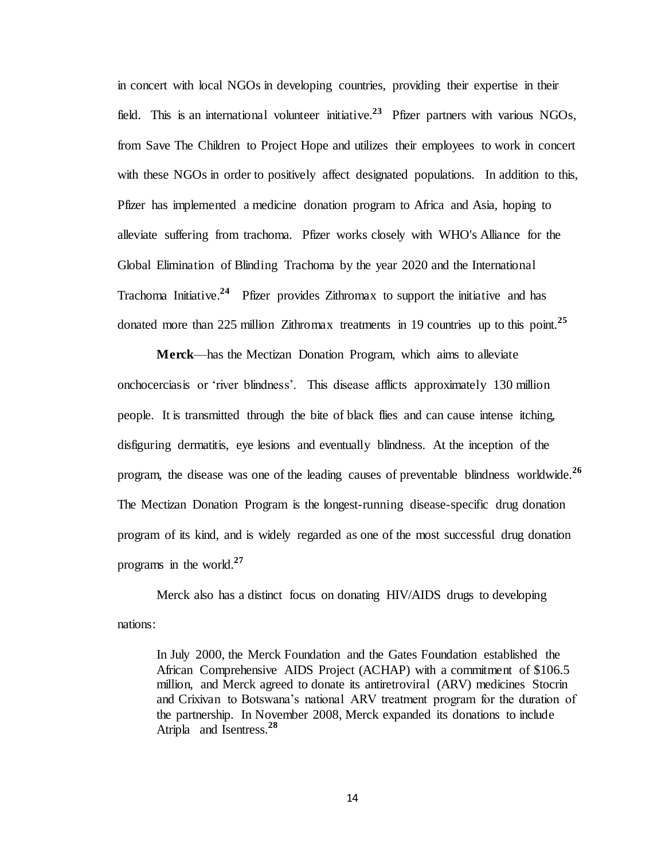in concert with local NGOs in developing countries, providing their expertise in their field. This is an international volunteer initiative.<sup>23</sup> Pfizer partners with various NGOs, from Save The Children to Project Hope and utilizes their employees to work in concert with these NGOs in order to positively affect designated populations. In addition to this, Pfizer has implemented a medicine donation program to Africa and Asia, hoping to alleviate suffering from trachoma. Pfizer works closely with WHO's Alliance for the Global Elimination of Blinding Trachoma by the year 2020 and the International Trachoma Initiative.<sup>24</sup> Pfizer provides Zithromax to support the initiative and has donated more than 225 million Zithromax treatments in 19 countries up to this point.**<sup>25</sup>**

**Merck**—has the Mectizan Donation Program, which aims to alleviate onchocerciasis or 'river blindness'. This disease afflicts approximately 130 million people. It is transmitted through the bite of black flies and can cause intense itching, disfiguring dermatitis, eye lesions and eventually blindness. At the inception of the program, the disease was one of the leading causes of preventable blindness worldwide.**<sup>26</sup>**  The Mectizan Donation Program is the longest-running disease-specific drug donation program of its kind, and is widely regarded as one of the most successful drug donation programs in the world.**<sup>27</sup>**

Merck also has a distinct focus on donating HIV/AIDS drugs to developing nations:

In July 2000, the Merck Foundation and the Gates Foundation established the African Comprehensive AIDS Project (ACHAP) with a commitment of \$106.5 million, and Merck agreed to donate its antiretroviral (ARV) medicines Stocrin and Crixivan to Botswana's national ARV treatment program for the duration of the partnership. In November 2008, Merck expanded its donations to include Atripla and Isentress.**<sup>28</sup>**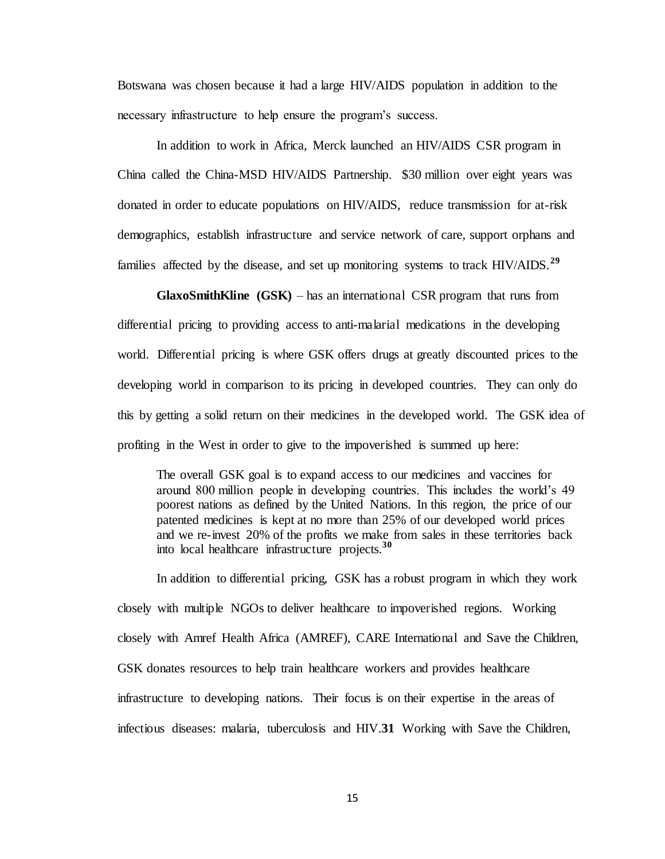Botswana was chosen because it had a large HIV/AIDS population in addition to the necessary infrastructure to help ensure the program's success.

In addition to work in Africa, Merck launched an HIV/AIDS CSR program in China called the China-MSD HIV/AIDS Partnership. \$30 million over eight years was donated in order to educate populations on HIV/AIDS, reduce transmission for at-risk demographics, establish infrastructure and service network of care, support orphans and families affected by the disease, and set up monitoring systems to track HIV/AIDS.**<sup>29</sup>**

**GlaxoSmithKline (GSK)** – has an international CSR program that runs from differential pricing to providing access to anti-malarial medications in the developing world. Differential pricing is where GSK offers drugs at greatly discounted prices to the developing world in comparison to its pricing in developed countries. They can only do this by getting a solid return on their medicines in the developed world. The GSK idea of profiting in the West in order to give to the impoverished is summed up here:

The overall GSK goal is to expand access to our medicines and vaccines for around 800 million people in developing countries. This includes the world's 49 poorest nations as defined by the United Nations. In this region, the price of our patented medicines is kept at no more than 25% of our developed world prices and we re-invest 20% of the profits we make from sales in these territories back into local healthcare infrastructure projects.**<sup>30</sup>**

In addition to differential pricing, GSK has a robust program in which they work closely with multiple NGOs to deliver healthcare to impoverished regions. Working closely with Amref Health Africa (AMREF), CARE International and Save the Children, GSK donates resources to help train healthcare workers and provides healthcare infrastructure to developing nations. Their focus is on their expertise in the areas of infectious diseases: malaria, tuberculosis and HIV.**31** Working with Save the Children,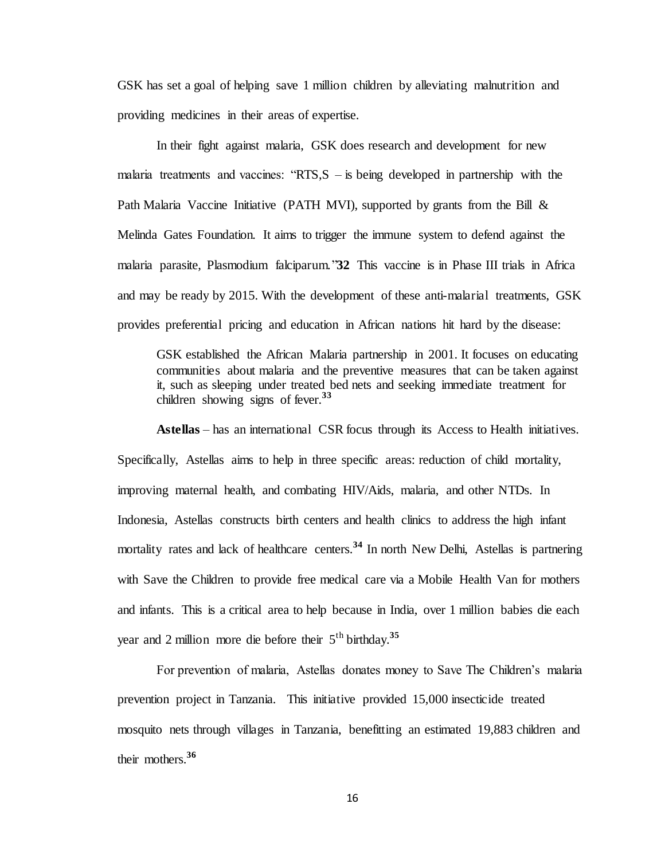GSK has set a goal of helping save 1 million children by alleviating malnutrition and providing medicines in their areas of expertise.

In their fight against malaria, GSK does research and development for new malaria treatments and vaccines: " $RTS$ ,  $S -$  is being developed in partnership with the Path Malaria Vaccine Initiative (PATH MVI), supported by grants from the Bill  $\&$ Melinda Gates Foundation. It aims to trigger the immune system to defend against the malaria parasite, Plasmodium falciparum."**32** This vaccine is in Phase III trials in Africa and may be ready by 2015. With the development of these anti-malarial treatments, GSK provides preferential pricing and education in African nations hit hard by the disease:

GSK established the African Malaria partnership in 2001. It focuses on educating communities about malaria and the preventive measures that can be taken against it, such as sleeping under treated bed nets and seeking immediate treatment for children showing signs of fever.**<sup>33</sup>**

**Astellas** – has an international CSR focus through its Access to Health initiatives. Specifically, Astellas aims to help in three specific areas: reduction of child mortality, improving maternal health, and combating HIV/Aids, malaria, and other NTDs. In Indonesia, Astellas constructs birth centers and health clinics to address the high infant mortality rates and lack of healthcare centers.<sup>34</sup> In north New Delhi, Astellas is partnering with Save the Children to provide free medical care via a Mobile Health Van for mothers and infants. This is a critical area to help because in India, over 1 million babies die each year and 2 million more die before their  $5<sup>th</sup>$  birthday.<sup>35</sup>

For prevention of malaria, Astellas donates money to Save The Children's malaria prevention project in Tanzania.This initiative provided 15,000 insecticide treated mosquito nets through villages in Tanzania, benefitting an estimated 19,883 children and their mothers.**<sup>36</sup>**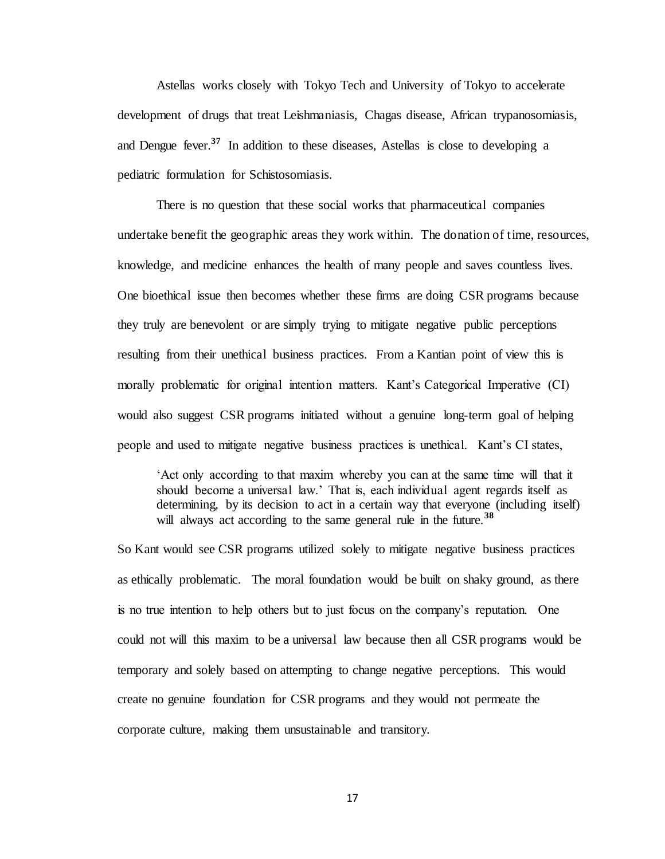Astellas works closely with Tokyo Tech and University of Tokyo to accelerate development of drugs that treat Leishmaniasis, Chagas disease, African trypanosomiasis, and Dengue fever.**<sup>37</sup>** In addition to these diseases, Astellas is close to developing a pediatric formulation for Schistosomiasis.

There is no question that these social works that pharmaceutical companies undertake benefit the geographic areas they work within. The donation of time, resources, knowledge, and medicine enhances the health of many people and saves countless lives. One bioethical issue then becomes whether these firms are doing CSR programs because they truly are benevolent or are simply trying to mitigate negative public perceptions resulting from their unethical business practices. From a Kantian point of view this is morally problematic for original intention matters. Kant's Categorical Imperative (CI) would also suggest CSR programs initiated without a genuine long-term goal of helping people and used to mitigate negative business practices is unethical. Kant's CI states,

'Act only according to that maxim whereby you can at the same time will that it should become a universal law.' That is, each individual agent regards itself as determining, by its decision to act in a certain way that everyone (including itself) will always act according to the same general rule in the future.**<sup>38</sup>**

So Kant would see CSR programs utilized solely to mitigate negative business practices as ethically problematic. The moral foundation would be built on shaky ground, as there is no true intention to help others but to just focus on the company's reputation. One could not will this maxim to be a universal law because then all CSR programs would be temporary and solely based on attempting to change negative perceptions. This would create no genuine foundation for CSR programs and they would not permeate the corporate culture, making them unsustainable and transitory.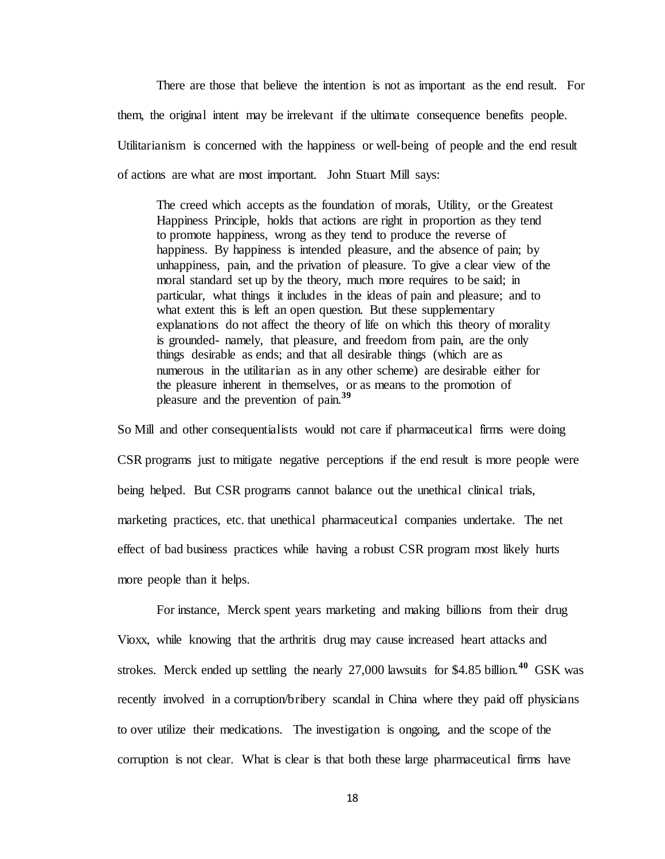There are those that believe the intention is not as important as the end result. For them, the original intent may be irrelevant if the ultimate consequence benefits people. Utilitarianism is concerned with the happiness or well-being of people and the end result of actions are what are most important. John Stuart Mill says:

The creed which accepts as the foundation of morals, Utility, or the Greatest Happiness Principle, holds that actions are right in proportion as they tend to promote happiness, wrong as they tend to produce the reverse of happiness. By happiness is intended pleasure, and the absence of pain; by unhappiness, pain, and the privation of pleasure. To give a clear view of the moral standard set up by the theory, much more requires to be said; in particular, what things it includes in the ideas of pain and pleasure; and to what extent this is left an open question. But these supplementary explanations do not affect the theory of life on which this theory of morality is grounded- namely, that pleasure, and freedom from pain, are the only things desirable as ends; and that all desirable things (which are as numerous in the utilitarian as in any other scheme) are desirable either for the pleasure inherent in themselves, or as means to the promotion of pleasure and the prevention of pain.**<sup>39</sup>**

So Mill and other consequentialists would not care if pharmaceutical firms were doing CSR programs just to mitigate negative perceptions if the end result is more people were being helped. But CSR programs cannot balance out the unethical clinical trials, marketing practices, etc. that unethical pharmaceutical companies undertake. The net effect of bad business practices while having a robust CSR program most likely hurts more people than it helps.

For instance, Merck spent years marketing and making billions from their drug Vioxx, while knowing that the arthritis drug may cause increased heart attacks and strokes. Merck ended up settling the nearly 27,000 lawsuits for \$4.85 billion.**<sup>40</sup>** GSK was recently involved in a corruption/bribery scandal in China where they paid off physicians to over utilize their medications. The investigation is ongoing, and the scope of the corruption is not clear. What is clear is that both these large pharmaceutical firms have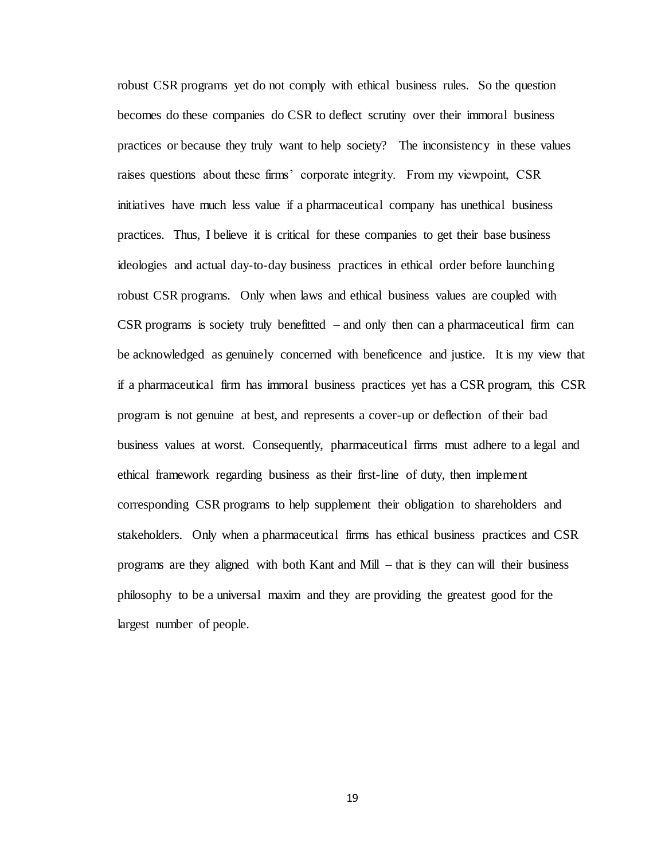robust CSR programs yet do not comply with ethical business rules. So the question becomes do these companies do CSR to deflect scrutiny over their immoral business practices or because they truly want to help society? The inconsistency in these values raises questions about these firms' corporate integrity. From my viewpoint, CSR initiatives have much less value if a pharmaceutical company has unethical business practices. Thus, I believe it is critical for these companies to get their base business ideologies and actual day-to-day business practices in ethical order before launching robust CSR programs. Only when laws and ethical business values are coupled with  $CSR$  programs is society truly benefitted – and only then can a pharmaceutical firm can be acknowledged as genuinely concerned with beneficence and justice. It is my view that if a pharmaceutical firm has immoral business practices yet has a CSR program, this CSR program is not genuine at best, and represents a cover-up or deflection of their bad business values at worst. Consequently, pharmaceutical firms must adhere to a legal and ethical framework regarding business as their first-line of duty, then implement corresponding CSR programs to help supplement their obligation to shareholders and stakeholders. Only when a pharmaceutical firms has ethical business practices and CSR programs are they aligned with both Kant and Mill – that is they can will their business philosophy to be a universal maxim and they are providing the greatest good for the largest number of people.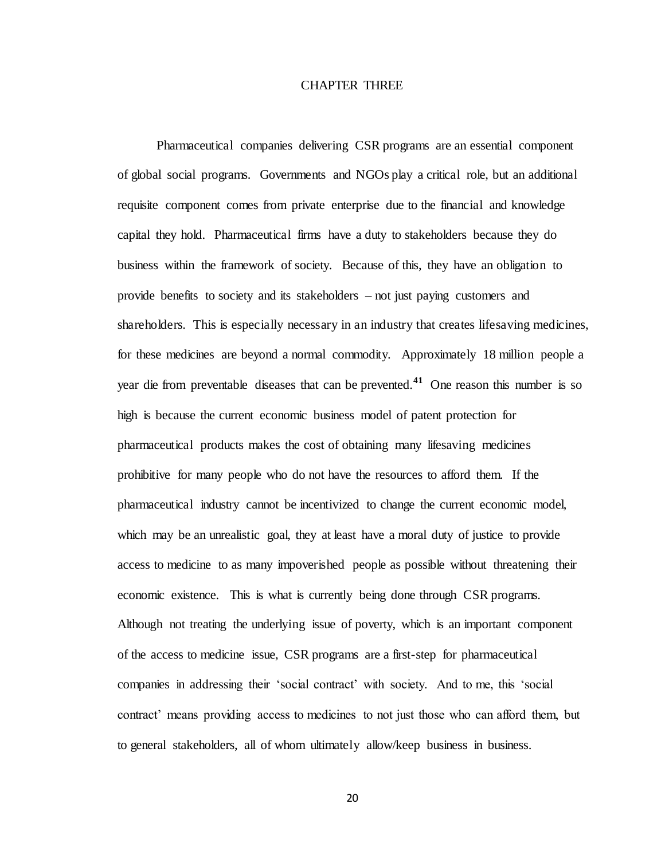## CHAPTER THREE

Pharmaceutical companies delivering CSR programs are an essential component of global social programs. Governments and NGOs play a critical role, but an additional requisite component comes from private enterprise due to the financial and knowledge capital they hold. Pharmaceutical firms have a duty to stakeholders because they do business within the framework of society. Because of this, they have an obligation to provide benefits to society and its stakeholders – not just paying customers and shareholders. This is especially necessary in an industry that creates lifesaving medicines, for these medicines are beyond a normal commodity. Approximately 18 million people a year die from preventable diseases that can be prevented.**<sup>41</sup>** One reason this number is so high is because the current economic business model of patent protection for pharmaceutical products makes the cost of obtaining many lifesaving medicines prohibitive for many people who do not have the resources to afford them. If the pharmaceutical industry cannot be incentivized to change the current economic model, which may be an unrealistic goal, they at least have a moral duty of justice to provide access to medicine to as many impoverished people as possible without threatening their economic existence. This is what is currently being done through CSR programs. Although not treating the underlying issue of poverty, which is an important component of the access to medicine issue, CSR programs are a first-step for pharmaceutical companies in addressing their 'social contract' with society. And to me, this 'social contract' means providing access to medicines to not just those who can afford them, but to general stakeholders, all of whom ultimately allow/keep business in business.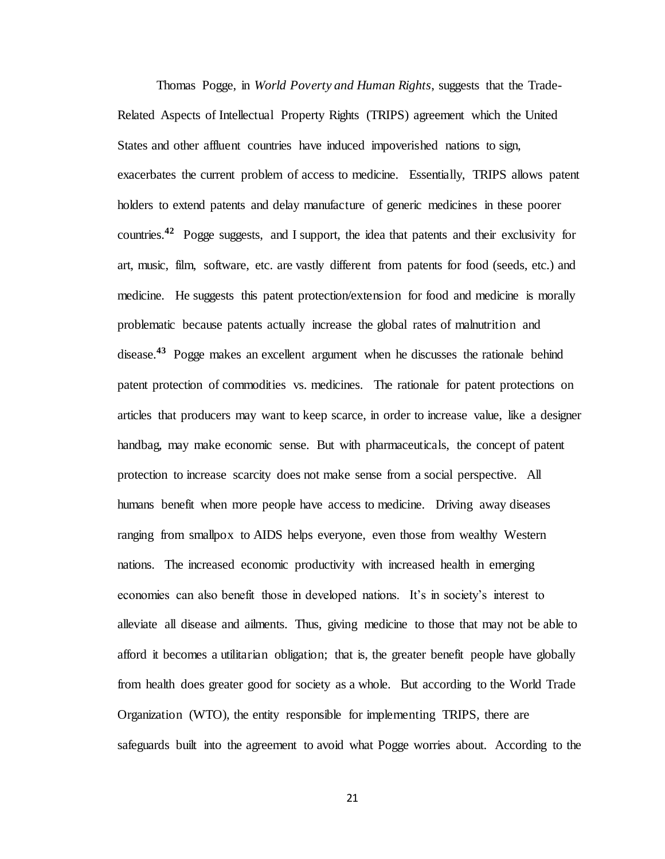Thomas Pogge, in *World Poverty and Human Rights*, suggests that the Trade-Related Aspects of Intellectual Property Rights (TRIPS) agreement which the United States and other affluent countries have induced impoverished nations to sign, exacerbates the current problem of access to medicine. Essentially, TRIPS allows patent holders to extend patents and delay manufacture of generic medicines in these poorer countries.<sup>42</sup> Pogge suggests, and I support, the idea that patents and their exclusivity for art, music, film, software, etc. are vastly different from patents for food (seeds, etc.) and medicine. He suggests this patent protection/extension for food and medicine is morally problematic because patents actually increase the global rates of malnutrition and disease.**<sup>43</sup>** Pogge makes an excellent argument when he discusses the rationale behind patent protection of commodities vs. medicines. The rationale for patent protections on articles that producers may want to keep scarce, in order to increase value, like a designer handbag, may make economic sense. But with pharmaceuticals, the concept of patent protection to increase scarcity does not make sense from a social perspective. All humans benefit when more people have access to medicine. Driving away diseases ranging from smallpox to AIDS helps everyone, even those from wealthy Western nations. The increased economic productivity with increased health in emerging economies can also benefit those in developed nations. It's in society's interest to alleviate all disease and ailments. Thus, giving medicine to those that may not be able to afford it becomes a utilitarian obligation; that is, the greater benefit people have globally from health does greater good for society as a whole. But according to the World Trade Organization (WTO), the entity responsible for implementing TRIPS, there are safeguards built into the agreement to avoid what Pogge worries about. According to the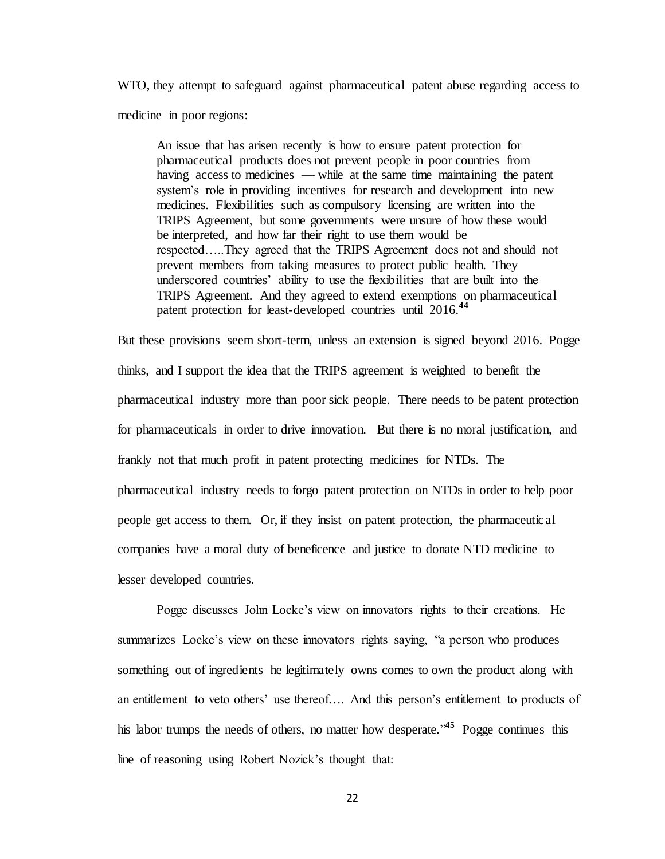WTO, they attempt to safeguard against pharmaceutical patent abuse regarding access to medicine in poor regions:

An issue that has arisen recently is how to ensure patent protection for pharmaceutical products does not prevent people in poor countries from having access to medicines — while at the same time maintaining the patent system's role in providing incentives for research and development into new medicines. Flexibilities such as compulsory licensing are written into the TRIPS Agreement, but some governments were unsure of how these would be interpreted, and how far their right to use them would be respected…..They agreed that the TRIPS Agreement does not and should not prevent members from taking measures to protect public health. They underscored countries' ability to use the flexibilities that are built into the TRIPS Agreement. And they agreed to extend exemptions on pharmaceutical patent protection for least-developed countries until 2016.**<sup>44</sup>**

But these provisions seem short-term, unless an extension is signed beyond 2016. Pogge thinks, and I support the idea that the TRIPS agreement is weighted to benefit the pharmaceutical industry more than poor sick people. There needs to be patent protection for pharmaceuticals in order to drive innovation. But there is no moral justification, and frankly not that much profit in patent protecting medicines for NTDs. The pharmaceutical industry needs to forgo patent protection on NTDs in order to help poor people get access to them. Or, if they insist on patent protection, the pharmaceutic al companies have a moral duty of beneficence and justice to donate NTD medicine to lesser developed countries.

Pogge discusses John Locke's view on innovators rights to their creations. He summarizes Locke's view on these innovators rights saying, "a person who produces something out of ingredients he legitimately owns comes to own the product along with an entitlement to veto others' use thereof…. And this person's entitlement to products of his labor trumps the needs of others, no matter how desperate.<sup>45</sup> Pogge continues this line of reasoning using Robert Nozick's thought that: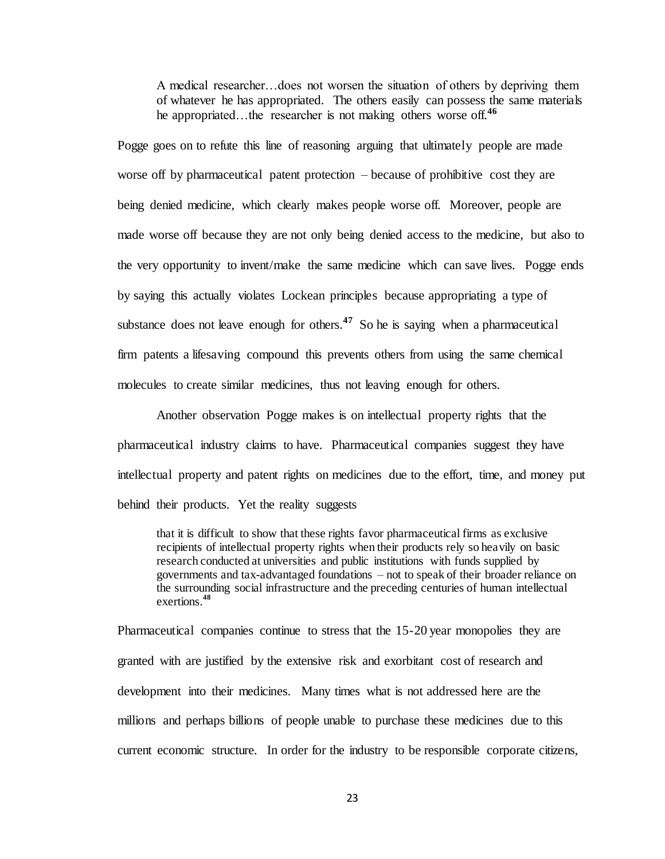A medical researcher…does not worsen the situation of others by depriving them of whatever he has appropriated. The others easily can possess the same materials he appropriated…the researcher is not making others worse off.**<sup>46</sup>** 

Pogge goes on to refute this line of reasoning arguing that ultimately people are made worse off by pharmaceutical patent protection – because of prohibitive cost they are being denied medicine, which clearly makes people worse off. Moreover, people are made worse off because they are not only being denied access to the medicine, but also to the very opportunity to invent/make the same medicine which can save lives. Pogge ends by saying this actually violates Lockean principles because appropriating a type of substance does not leave enough for others.<sup>47</sup> So he is saying when a pharmaceutical firm patents a lifesaving compound this prevents others from using the same chemical molecules to create similar medicines, thus not leaving enough for others.

Another observation Pogge makes is on intellectual property rights that the pharmaceutical industry claims to have. Pharmaceutical companies suggest they have intellectual property and patent rights on medicines due to the effort, time, and money put behind their products. Yet the reality suggests

that it is difficult to show that these rights favor pharmaceutical firms as exclusive recipients of intellectual property rights when their products rely so heavily on basic research conducted at universities and public institutions with funds supplied by governments and tax-advantaged foundations – not to speak of their broader reliance on the surrounding social infrastructure and the preceding centuries of human intellectual exertions.**<sup>48</sup>**

Pharmaceutical companies continue to stress that the 15-20 year monopolies they are granted with are justified by the extensive risk and exorbitant cost of research and development into their medicines. Many times what is not addressed here are the millions and perhaps billions of people unable to purchase these medicines due to this current economic structure. In order for the industry to be responsible corporate citizens,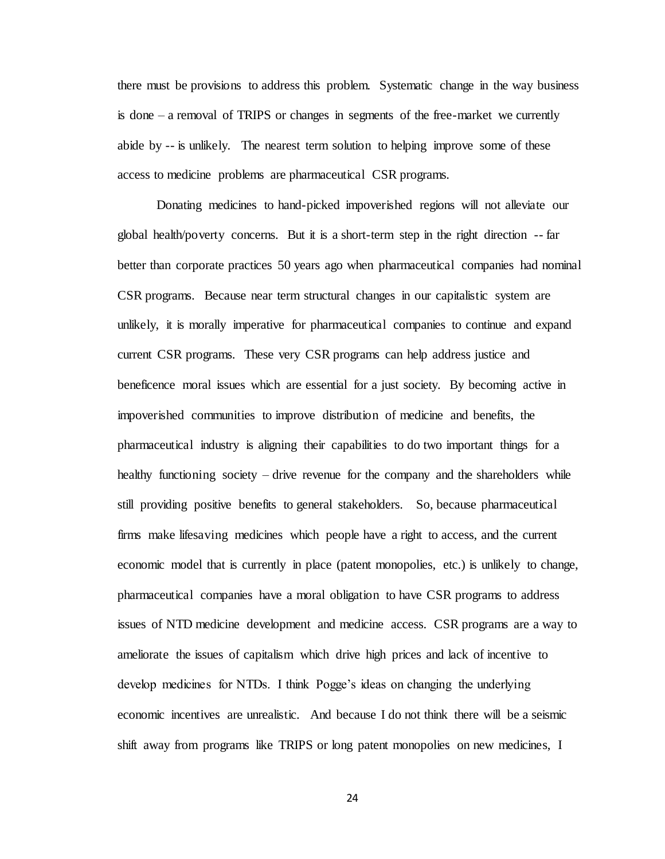there must be provisions to address this problem. Systematic change in the way business is done – a removal of TRIPS or changes in segments of the free-market we currently abide by -- is unlikely. The nearest term solution to helping improve some of these access to medicine problems are pharmaceutical CSR programs.

Donating medicines to hand-picked impoverished regions will not alleviate our global health/poverty concerns. But it is a short-term step in the right direction -- far better than corporate practices 50 years ago when pharmaceutical companies had nominal CSR programs. Because near term structural changes in our capitalistic system are unlikely, it is morally imperative for pharmaceutical companies to continue and expand current CSR programs. These very CSR programs can help address justice and beneficence moral issues which are essential for a just society. By becoming active in impoverished communities to improve distribution of medicine and benefits, the pharmaceutical industry is aligning their capabilities to do two important things for a healthy functioning society – drive revenue for the company and the shareholders while still providing positive benefits to general stakeholders. So, because pharmaceutical firms make lifesaving medicines which people have a right to access, and the current economic model that is currently in place (patent monopolies, etc.) is unlikely to change, pharmaceutical companies have a moral obligation to have CSR programs to address issues of NTD medicine development and medicine access. CSR programs are a way to ameliorate the issues of capitalism which drive high prices and lack of incentive to develop medicines for NTDs. I think Pogge's ideas on changing the underlying economic incentives are unrealistic. And because I do not think there will be a seismic shift away from programs like TRIPS or long patent monopolies on new medicines, I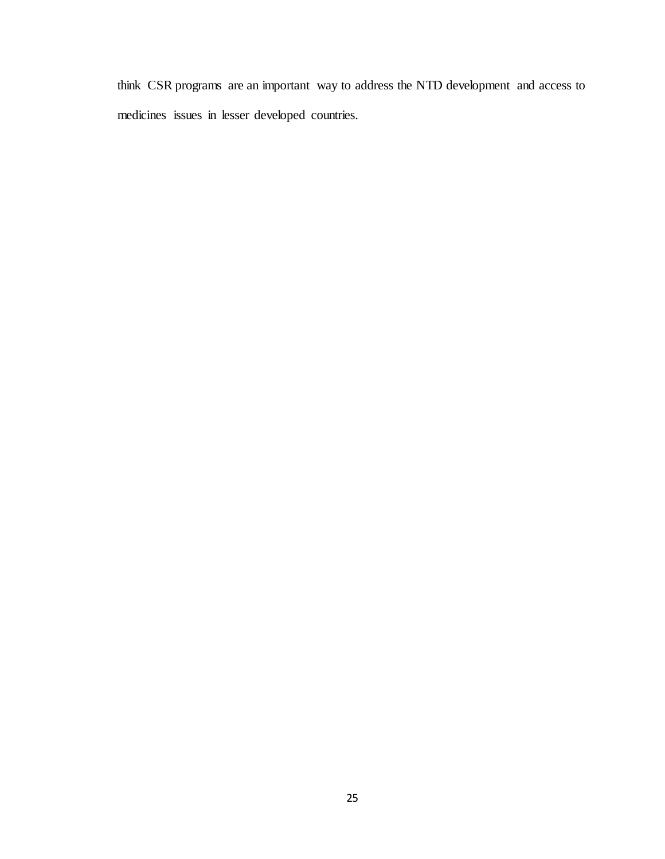think CSR programs are an important way to address the NTD development and access to medicines issues in lesser developed countries.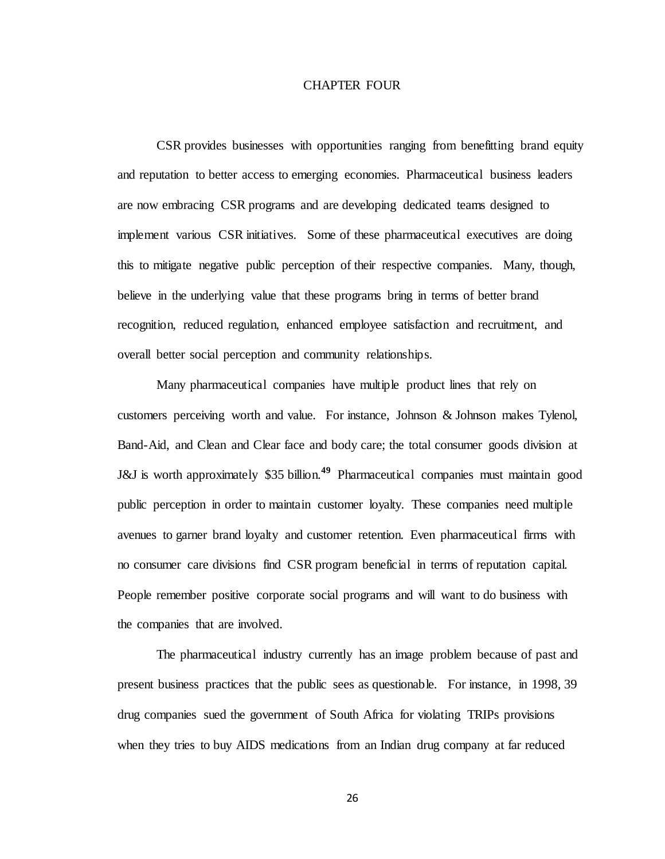### CHAPTER FOUR

CSR provides businesses with opportunities ranging from benefitting brand equity and reputation to better access to emerging economies. Pharmaceutical business leaders are now embracing CSR programs and are developing dedicated teams designed to implement various CSR initiatives. Some of these pharmaceutical executives are doing this to mitigate negative public perception of their respective companies. Many, though, believe in the underlying value that these programs bring in terms of better brand recognition, reduced regulation, enhanced employee satisfaction and recruitment, and overall better social perception and community relationships.

Many pharmaceutical companies have multiple product lines that rely on customers perceiving worth and value. For instance, Johnson & Johnson makes Tylenol, Band-Aid, and Clean and Clear face and body care; the total consumer goods division at J&J is worth approximately \$35 billion.**<sup>49</sup>** Pharmaceutical companies must maintain good public perception in order to maintain customer loyalty. These companies need multiple avenues to garner brand loyalty and customer retention. Even pharmaceutical firms with no consumer care divisions find CSR program beneficial in terms of reputation capital. People remember positive corporate social programs and will want to do business with the companies that are involved.

The pharmaceutical industry currently has an image problem because of past and present business practices that the public sees as questionable. For instance, in 1998, 39 drug companies sued the government of South Africa for violating TRIPs provisions when they tries to buy AIDS medications from an Indian drug company at far reduced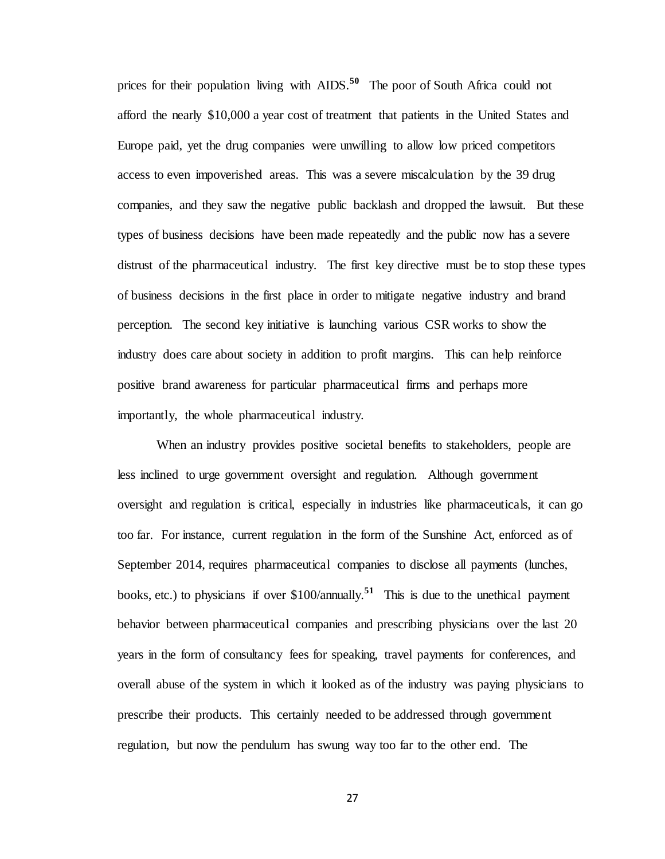prices for their population living with AIDS.**<sup>50</sup>** The poor of South Africa could not afford the nearly \$10,000 a year cost of treatment that patients in the United States and Europe paid, yet the drug companies were unwilling to allow low priced competitors access to even impoverished areas. This was a severe miscalculation by the 39 drug companies, and they saw the negative public backlash and dropped the lawsuit. But these types of business decisions have been made repeatedly and the public now has a severe distrust of the pharmaceutical industry. The first key directive must be to stop these types of business decisions in the first place in order to mitigate negative industry and brand perception. The second key initiative is launching various CSR works to show the industry does care about society in addition to profit margins. This can help reinforce positive brand awareness for particular pharmaceutical firms and perhaps more importantly, the whole pharmaceutical industry.

When an industry provides positive societal benefits to stakeholders, people are less inclined to urge government oversight and regulation. Although government oversight and regulation is critical, especially in industries like pharmaceuticals, it can go too far. For instance, current regulation in the form of the Sunshine Act, enforced as of September 2014, requires pharmaceutical companies to disclose all payments (lunches, books, etc.) to physicians if over \$100/annually.**<sup>51</sup>** This is due to the unethical payment behavior between pharmaceutical companies and prescribing physicians over the last 20 years in the form of consultancy fees for speaking, travel payments for conferences, and overall abuse of the system in which it looked as of the industry was paying physicians to prescribe their products. This certainly needed to be addressed through government regulation, but now the pendulum has swung way too far to the other end. The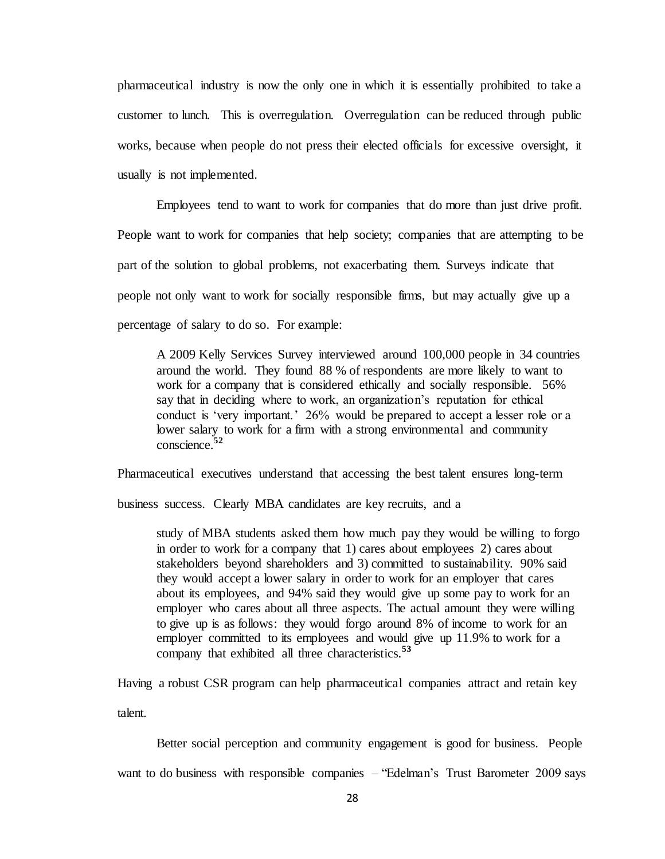pharmaceutical industry is now the only one in which it is essentially prohibited to take a customer to lunch. This is overregulation. Overregulation can be reduced through public works, because when people do not press their elected officials for excessive oversight, it usually is not implemented.

Employees tend to want to work for companies that do more than just drive profit. People want to work for companies that help society; companies that are attempting to be part of the solution to global problems, not exacerbating them. Surveys indicate that people not only want to work for socially responsible firms, but may actually give up a percentage of salary to do so. For example:

A 2009 Kelly Services Survey interviewed around 100,000 people in 34 countries around the world. They found 88 % of respondents are more likely to want to work for a company that is considered ethically and socially responsible. 56% say that in deciding where to work, an organization's reputation for ethical conduct is 'very important.' 26% would be prepared to accept a lesser role or a lower salary to work for a firm with a strong environmental and community conscience.**<sup>52</sup>** 

Pharmaceutical executives understand that accessing the best talent ensures long-term

business success. Clearly MBA candidates are key recruits, and a

study of MBA students asked them how much pay they would be willing to forgo in order to work for a company that 1) cares about employees 2) cares about stakeholders beyond shareholders and 3) committed to sustainability. 90% said they would accept a lower salary in order to work for an employer that cares about its employees, and 94% said they would give up some pay to work for an employer who cares about all three aspects. The actual amount they were willing to give up is as follows: they would forgo around 8% of income to work for an employer committed to its employees and would give up 11.9% to work for a company that exhibited all three characteristics.**<sup>53</sup>**

Having a robust CSR program can help pharmaceutical companies attract and retain key

talent.

Better social perception and community engagement is good for business. People

want to do business with responsible companies – "Edelman's Trust Barometer 2009 says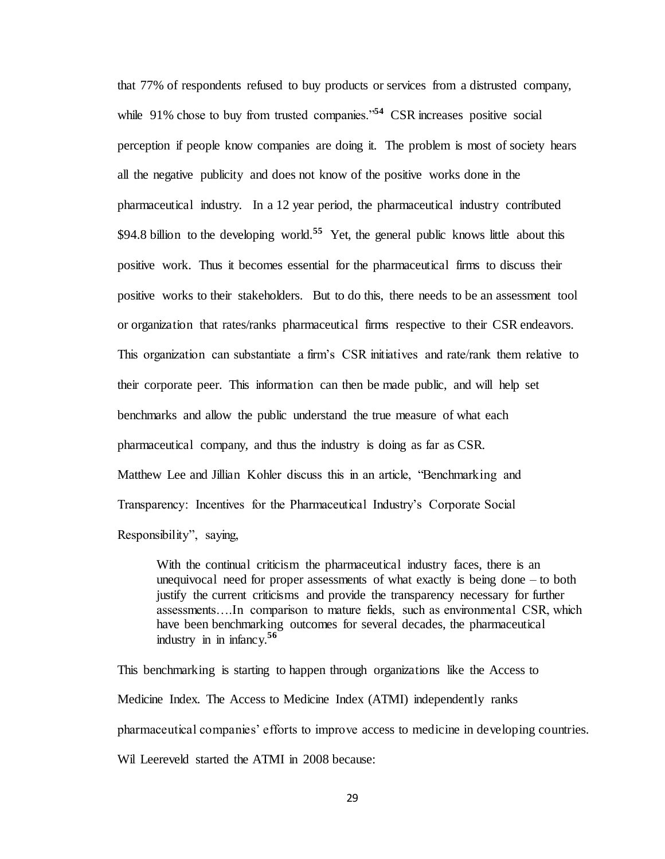that 77% of respondents refused to buy products or services from a distrusted company, while 91% chose to buy from trusted companies.<sup>54</sup> CSR increases positive social perception if people know companies are doing it. The problem is most of society hears all the negative publicity and does not know of the positive works done in the pharmaceutical industry. In a 12 year period, the pharmaceutical industry contributed \$94.8 billion to the developing world.<sup>55</sup> Yet, the general public knows little about this positive work. Thus it becomes essential for the pharmaceutical firms to discuss their positive works to their stakeholders. But to do this, there needs to be an assessment tool or organization that rates/ranks pharmaceutical firms respective to their CSR endeavors. This organization can substantiate a firm's CSR initiatives and rate/rank them relative to their corporate peer. This information can then be made public, and will help set benchmarks and allow the public understand the true measure of what each pharmaceutical company, and thus the industry is doing as far as CSR. Matthew Lee and Jillian Kohler discuss this in an article, "Benchmarking and Transparency: Incentives for the Pharmaceutical Industry's Corporate Social Responsibility", saying,

With the continual criticism the pharmaceutical industry faces, there is an unequivocal need for proper assessments of what exactly is being done – to both justify the current criticisms and provide the transparency necessary for further assessments….In comparison to mature fields, such as environmental CSR, which have been benchmarking outcomes for several decades, the pharmaceutical industry in in infancy.**<sup>56</sup>**

This benchmarking is starting to happen through organizations like the Access to Medicine Index. The Access to Medicine Index (ATMI) independently ranks pharmaceutical companies' efforts to improve access to medicine in developing countries. Wil Leereveld started the ATMI in 2008 because: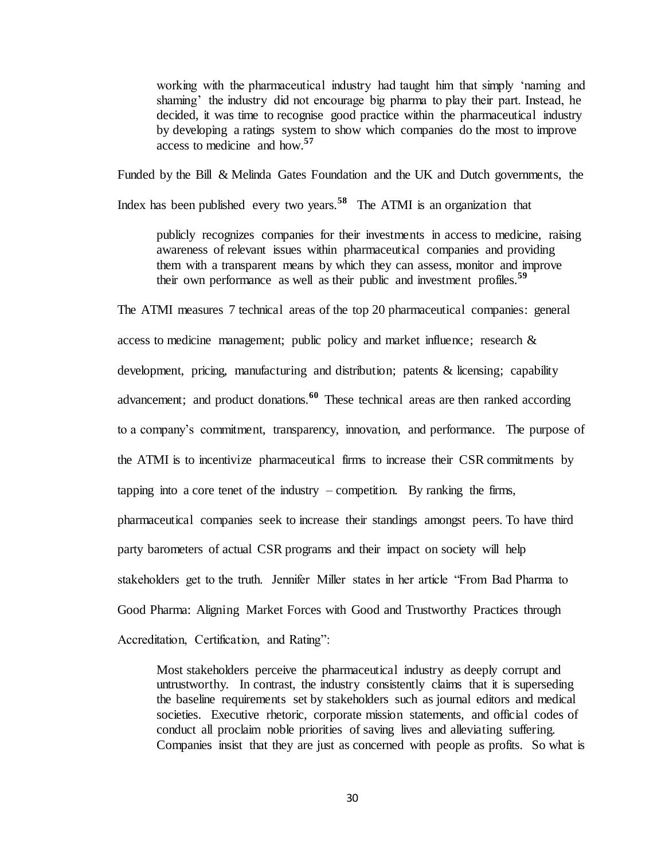working with the pharmaceutical industry had taught him that simply 'naming and shaming' the industry did not encourage big pharma to play their part. Instead, he decided, it was time to recognise good practice within the pharmaceutical industry by developing a ratings system to show which companies do the most to improve access to medicine and how.**<sup>57</sup>** 

Funded by the Bill & Melinda Gates Foundation and the UK and Dutch governments, the

Index has been published every two years.**<sup>58</sup>** The ATMI is an organization that

publicly recognizes companies for their investments in access to medicine, raising awareness of relevant issues within pharmaceutical companies and providing them with a transparent means by which they can assess, monitor and improve their own performance as well as their public and investment profiles.**<sup>59</sup>**

The ATMI measures 7 technical areas of the top 20 pharmaceutical companies: general access to medicine management; public policy and market influence; research & development, pricing, manufacturing and distribution; patents & licensing; capability advancement; and product donations.**<sup>60</sup>** These technical areas are then ranked according to a company's commitment, transparency, innovation, and performance. The purpose of the ATMI is to incentivize pharmaceutical firms to increase their CSR commitments by tapping into a core tenet of the industry  $-$  competition. By ranking the firms, pharmaceutical companies seek to increase their standings amongst peers. To have third party barometers of actual CSR programs and their impact on society will help stakeholders get to the truth. Jennifer Miller states in her article "From Bad Pharma to Good Pharma: Aligning Market Forces with Good and Trustworthy Practices through Accreditation, Certification, and Rating":

Most stakeholders perceive the pharmaceutical industry as deeply corrupt and untrustworthy. In contrast, the industry consistently claims that it is superseding the baseline requirements set by stakeholders such as journal editors and medical societies. Executive rhetoric, corporate mission statements, and official codes of conduct all proclaim noble priorities of saving lives and alleviating suffering. Companies insist that they are just as concerned with people as profits. So what is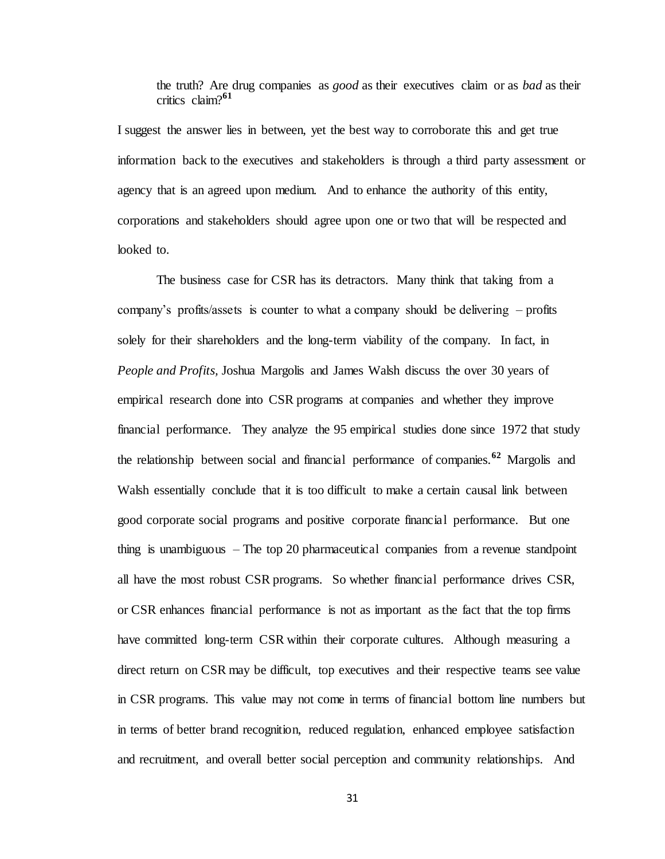the truth? Are drug companies as *good* as their executives claim or as *bad* as their critics claim?**<sup>61</sup>** 

I suggest the answer lies in between, yet the best way to corroborate this and get true information back to the executives and stakeholders is through a third party assessment or agency that is an agreed upon medium. And to enhance the authority of this entity, corporations and stakeholders should agree upon one or two that will be respected and looked to.

The business case for CSR has its detractors. Many think that taking from a company's profits/assets is counter to what a company should be delivering – profits solely for their shareholders and the long-term viability of the company. In fact, in *People and Profits,* Joshua Margolis and James Walsh discuss the over 30 years of empirical research done into CSR programs at companies and whether they improve financial performance. They analyze the 95 empirical studies done since 1972 that study the relationship between social and financial performance of companies.**<sup>62</sup>** Margolis and Walsh essentially conclude that it is too difficult to make a certain causal link between good corporate social programs and positive corporate financial performance. But one thing is unambiguous – The top 20 pharmaceutical companies from a revenue standpoint all have the most robust CSR programs. So whether financial performance drives CSR, or CSR enhances financial performance is not as important as the fact that the top firms have committed long-term CSR within their corporate cultures. Although measuring a direct return on CSR may be difficult, top executives and their respective teams see value in CSR programs. This value may not come in terms of financial bottom line numbers but in terms of better brand recognition, reduced regulation, enhanced employee satisfaction and recruitment, and overall better social perception and community relationships. And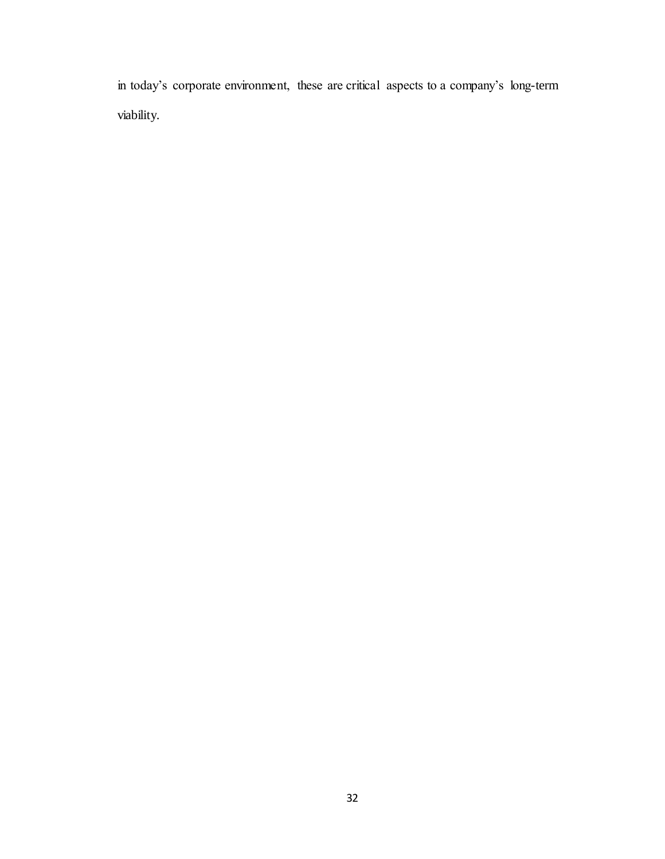in today's corporate environment, these are critical aspects to a company's long-term viability.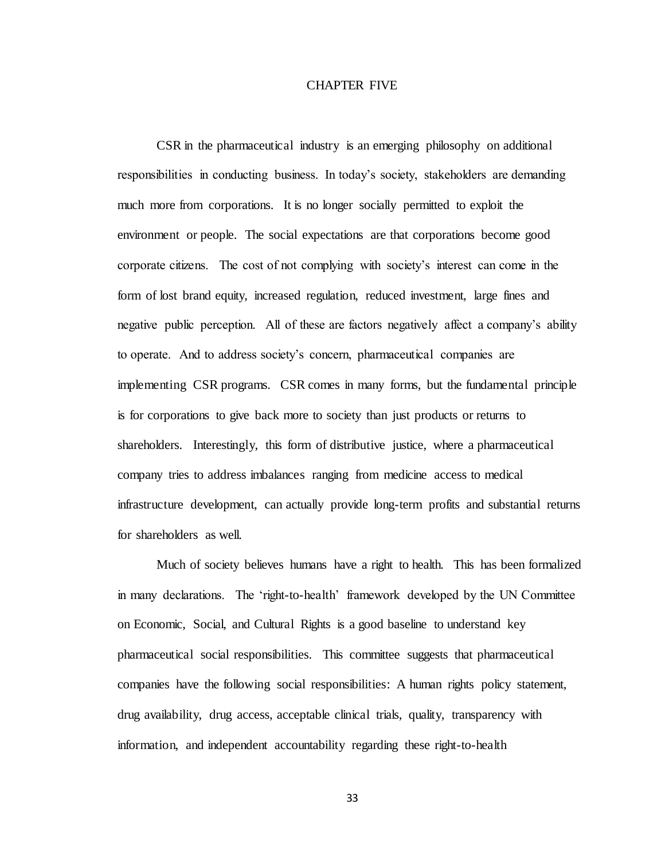### CHAPTER FIVE

CSR in the pharmaceutical industry is an emerging philosophy on additional responsibilities in conducting business. In today's society, stakeholders are demanding much more from corporations. It is no longer socially permitted to exploit the environment or people. The social expectations are that corporations become good corporate citizens. The cost of not complying with society's interest can come in the form of lost brand equity, increased regulation, reduced investment, large fines and negative public perception. All of these are factors negatively affect a company's ability to operate. And to address society's concern, pharmaceutical companies are implementing CSR programs. CSR comes in many forms, but the fundamental principle is for corporations to give back more to society than just products or returns to shareholders. Interestingly, this form of distributive justice, where a pharmaceutical company tries to address imbalances ranging from medicine access to medical infrastructure development, can actually provide long-term profits and substantial returns for shareholders as well.

Much of society believes humans have a right to health. This has been formalized in many declarations. The 'right-to-health' framework developed by the UN Committee on Economic, Social, and Cultural Rights is a good baseline to understand key pharmaceutical social responsibilities. This committee suggests that pharmaceutical companies have the following social responsibilities: A human rights policy statement, drug availability, drug access, acceptable clinical trials, quality, transparency with information, and independent accountability regarding these right-to-health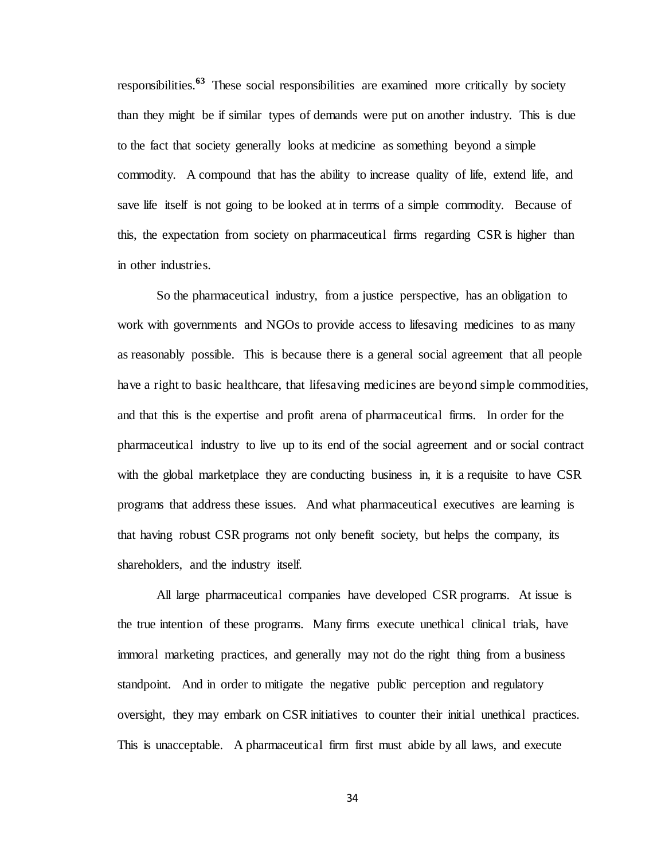responsibilities.**<sup>63</sup>** These social responsibilities are examined more critically by society than they might be if similar types of demands were put on another industry. This is due to the fact that society generally looks at medicine as something beyond a simple commodity. A compound that has the ability to increase quality of life, extend life, and save life itself is not going to be looked at in terms of a simple commodity. Because of this, the expectation from society on pharmaceutical firms regarding CSR is higher than in other industries.

So the pharmaceutical industry, from a justice perspective, has an obligation to work with governments and NGOs to provide access to lifesaving medicines to as many as reasonably possible. This is because there is a general social agreement that all people have a right to basic healthcare, that lifesaving medicines are beyond simple commodities, and that this is the expertise and profit arena of pharmaceutical firms. In order for the pharmaceutical industry to live up to its end of the social agreement and or social contract with the global marketplace they are conducting business in, it is a requisite to have CSR programs that address these issues. And what pharmaceutical executives are learning is that having robust CSR programs not only benefit society, but helps the company, its shareholders, and the industry itself.

All large pharmaceutical companies have developed CSR programs. At issue is the true intention of these programs. Many firms execute unethical clinical trials, have immoral marketing practices, and generally may not do the right thing from a business standpoint. And in order to mitigate the negative public perception and regulatory oversight, they may embark on CSR initiatives to counter their initial unethical practices. This is unacceptable. A pharmaceutical firm first must abide by all laws, and execute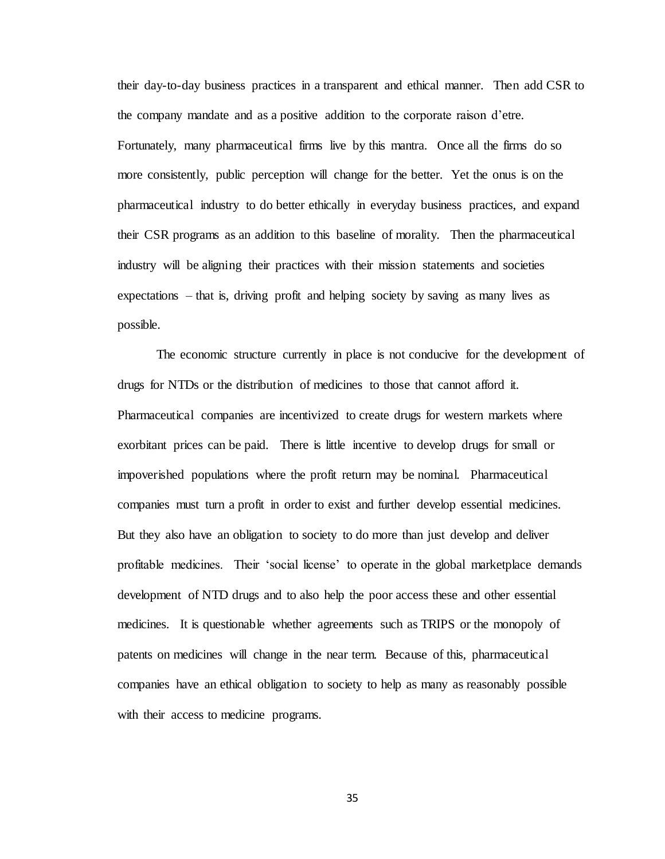their day-to-day business practices in a transparent and ethical manner. Then add CSR to the company mandate and as a positive addition to the corporate raison d'etre. Fortunately, many pharmaceutical firms live by this mantra. Once all the firms do so more consistently, public perception will change for the better. Yet the onus is on the pharmaceutical industry to do better ethically in everyday business practices, and expand their CSR programs as an addition to this baseline of morality. Then the pharmaceutical industry will be aligning their practices with their mission statements and societies expectations – that is, driving profit and helping society by saving as many lives as possible.

The economic structure currently in place is not conducive for the development of drugs for NTDs or the distribution of medicines to those that cannot afford it. Pharmaceutical companies are incentivized to create drugs for western markets where exorbitant prices can be paid. There is little incentive to develop drugs for small or impoverished populations where the profit return may be nominal. Pharmaceutical companies must turn a profit in order to exist and further develop essential medicines. But they also have an obligation to society to do more than just develop and deliver profitable medicines. Their 'social license' to operate in the global marketplace demands development of NTD drugs and to also help the poor access these and other essential medicines. It is questionable whether agreements such as TRIPS or the monopoly of patents on medicines will change in the near term. Because of this, pharmaceutical companies have an ethical obligation to society to help as many as reasonably possible with their access to medicine programs.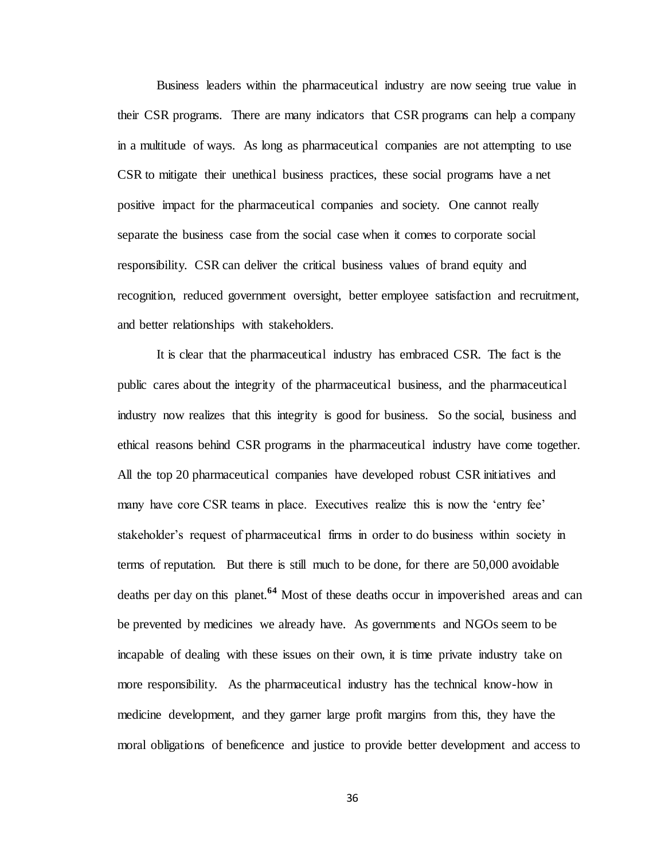Business leaders within the pharmaceutical industry are now seeing true value in their CSR programs. There are many indicators that CSR programs can help a company in a multitude of ways. As long as pharmaceutical companies are not attempting to use CSR to mitigate their unethical business practices, these social programs have a net positive impact for the pharmaceutical companies and society. One cannot really separate the business case from the social case when it comes to corporate social responsibility. CSR can deliver the critical business values of brand equity and recognition, reduced government oversight, better employee satisfaction and recruitment, and better relationships with stakeholders.

It is clear that the pharmaceutical industry has embraced CSR. The fact is the public cares about the integrity of the pharmaceutical business, and the pharmaceutical industry now realizes that this integrity is good for business. So the social, business and ethical reasons behind CSR programs in the pharmaceutical industry have come together. All the top 20 pharmaceutical companies have developed robust CSR initiatives and many have core CSR teams in place. Executives realize this is now the 'entry fee' stakeholder's request of pharmaceutical firms in order to do business within society in terms of reputation. But there is still much to be done, for there are 50,000 avoidable deaths per day on this planet.**<sup>64</sup>** Most of these deaths occur in impoverished areas and can be prevented by medicines we already have. As governments and NGOs seem to be incapable of dealing with these issues on their own, it is time private industry take on more responsibility. As the pharmaceutical industry has the technical know-how in medicine development, and they garner large profit margins from this, they have the moral obligations of beneficence and justice to provide better development and access to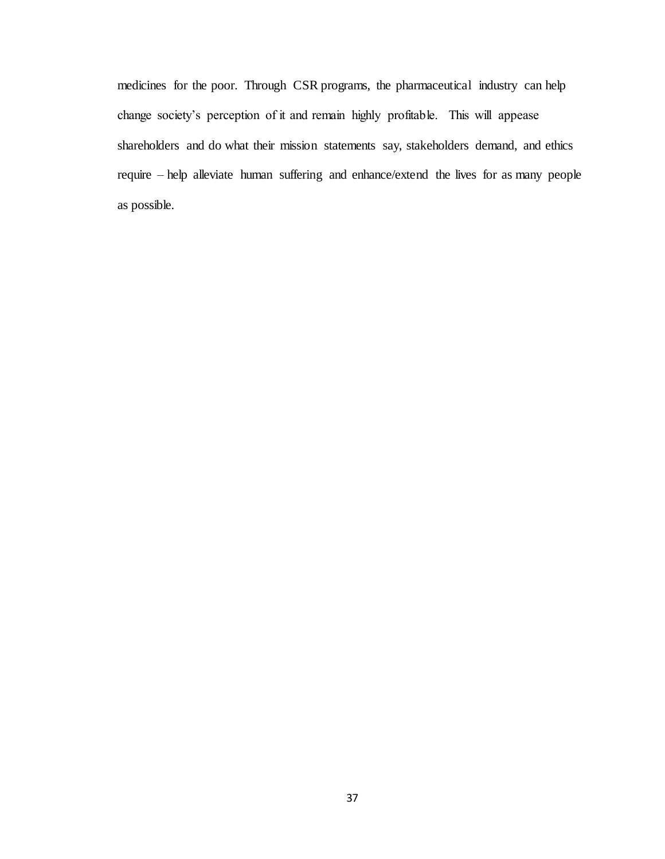medicines for the poor. Through CSR programs, the pharmaceutical industry can help change society's perception of it and remain highly profitable. This will appease shareholders and do what their mission statements say, stakeholders demand, and ethics require – help alleviate human suffering and enhance/extend the lives for as many people as possible.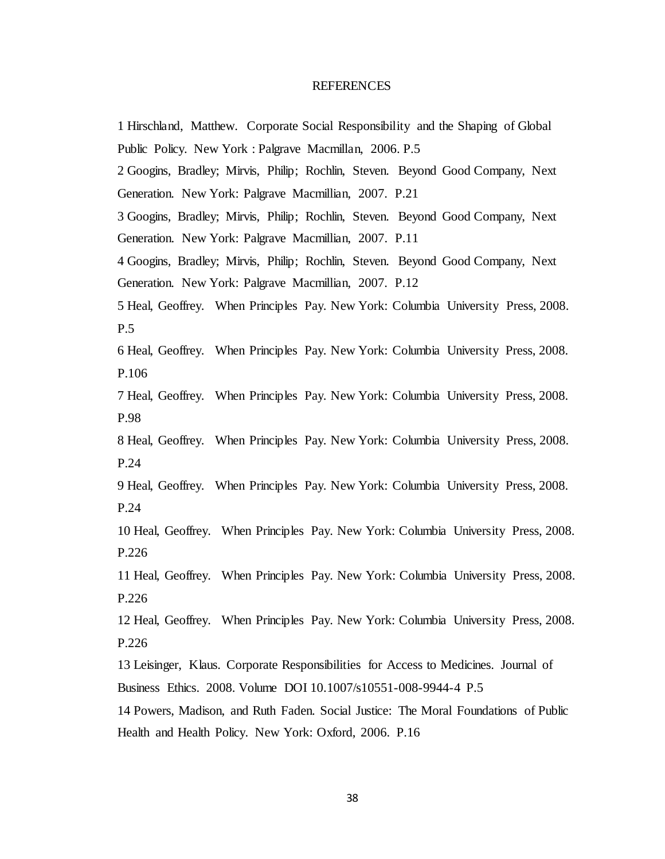### REFERENCES

1 Hirschland, Matthew. Corporate Social Responsibility and the Shaping of Global Public Policy. New York : Palgrave Macmillan, 2006. P.5 2 Googins, Bradley; Mirvis, Philip; Rochlin, Steven. Beyond Good Company, Next Generation. New York: Palgrave Macmillian, 2007. P.21 3 Googins, Bradley; Mirvis, Philip; Rochlin, Steven. Beyond Good Company, Next Generation. New York: Palgrave Macmillian, 2007. P.11 4 Googins, Bradley; Mirvis, Philip; Rochlin, Steven. Beyond Good Company, Next Generation. New York: Palgrave Macmillian, 2007. P.12 5 Heal, Geoffrey. When Principles Pay. New York: Columbia University Press, 2008. P.5 6 Heal, Geoffrey. When Principles Pay. New York: Columbia University Press, 2008. P.106 7 Heal, Geoffrey. When Principles Pay. New York: Columbia University Press, 2008. P.98 8 Heal, Geoffrey. When Principles Pay. New York: Columbia University Press, 2008. P.24 9 Heal, Geoffrey. When Principles Pay. New York: Columbia University Press, 2008. P.24 10 Heal, Geoffrey. When Principles Pay. New York: Columbia University Press, 2008. P.226 11 Heal, Geoffrey. When Principles Pay. New York: Columbia University Press, 2008. P.226 12 Heal, Geoffrey. When Principles Pay. New York: Columbia University Press, 2008. P.226 13 Leisinger, Klaus. Corporate Responsibilities for Access to Medicines. Journal of Business Ethics. 2008. Volume DOI 10.1007/s10551-008-9944-4 P.5 14 Powers, Madison, and Ruth Faden. Social Justice: The Moral Foundations of Public Health and Health Policy. New York: Oxford, 2006. P.16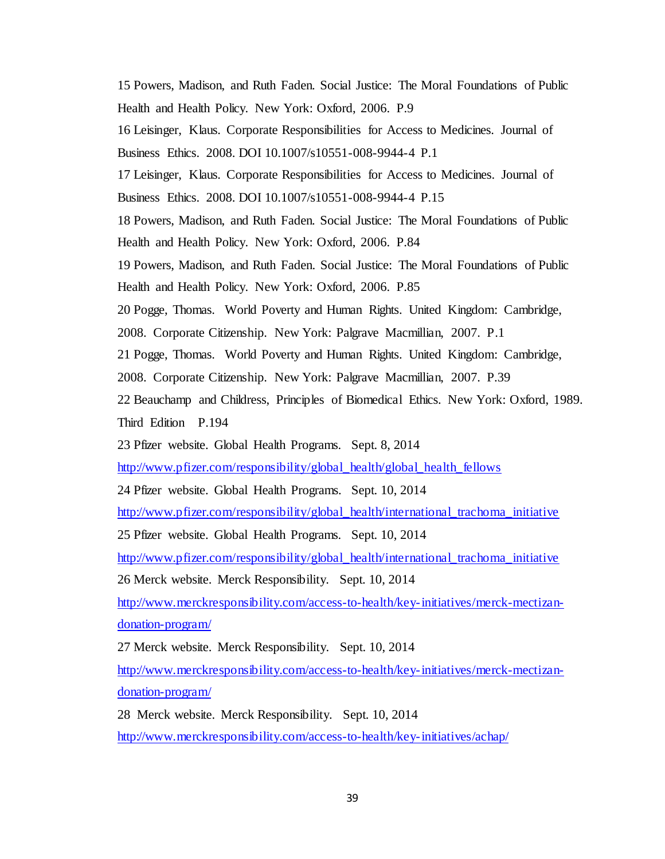15 Powers, Madison, and Ruth Faden. Social Justice: The Moral Foundations of Public Health and Health Policy. New York: Oxford, 2006. P.9 16 Leisinger, Klaus. Corporate Responsibilities for Access to Medicines. Journal of Business Ethics. 2008. DOI 10.1007/s10551-008-9944-4 P.1 17 Leisinger, Klaus. Corporate Responsibilities for Access to Medicines. Journal of Business Ethics. 2008. DOI 10.1007/s10551-008-9944-4 P.15 18 Powers, Madison, and Ruth Faden. Social Justice: The Moral Foundations of Public Health and Health Policy. New York: Oxford, 2006. P.84 19 Powers, Madison, and Ruth Faden. Social Justice: The Moral Foundations of Public Health and Health Policy. New York: Oxford, 2006. P.85 20 Pogge, Thomas. World Poverty and Human Rights. United Kingdom: Cambridge, 2008. Corporate Citizenship. New York: Palgrave Macmillian, 2007. P.1 21 Pogge, Thomas. World Poverty and Human Rights. United Kingdom: Cambridge, 2008. Corporate Citizenship. New York: Palgrave Macmillian, 2007. P.39 22 Beauchamp and Childress, Principles of Biomedical Ethics. New York: Oxford, 1989. Third Edition P.194 23 Pfizer website. Global Health Programs. Sept. 8, 2014 [http://www.pfizer.com/responsibility/global\\_health/global\\_health\\_fellows](http://www.pfizer.com/responsibility/global_health/global_health_fellows) 24 Pfizer website. Global Health Programs. Sept. 10, 2014 [http://www.pfizer.com/responsibility/global\\_health/international\\_trachoma\\_initiative](http://www.pfizer.com/responsibility/global_health/international_trachoma_initiative) 25 Pfizer website. Global Health Programs. Sept. 10, 2014 [http://www.pfizer.com/responsibility/global\\_health/international\\_trachoma\\_initiative](http://www.pfizer.com/responsibility/global_health/international_trachoma_initiative) 26 Merck website. Merck Responsibility. Sept. 10, 2014 [http://www.merckresponsibility.com/access-to-health/key-initiatives/merck-mectizan](http://www.merckresponsibility.com/access-to-health/key-initiatives/merck-mectizan-donation-program/)[donation-program/](http://www.merckresponsibility.com/access-to-health/key-initiatives/merck-mectizan-donation-program/) 27 Merck website. Merck Responsibility. Sept. 10, 2014 [http://www.merckresponsibility.com/access-to-health/key-initiatives/merck-mectizan](http://www.merckresponsibility.com/access-to-health/key-initiatives/merck-mectizan-donation-program/)[donation-program/](http://www.merckresponsibility.com/access-to-health/key-initiatives/merck-mectizan-donation-program/) 28 Merck website. Merck Responsibility. Sept. 10, 2014

<http://www.merckresponsibility.com/access-to-health/key-initiatives/achap/>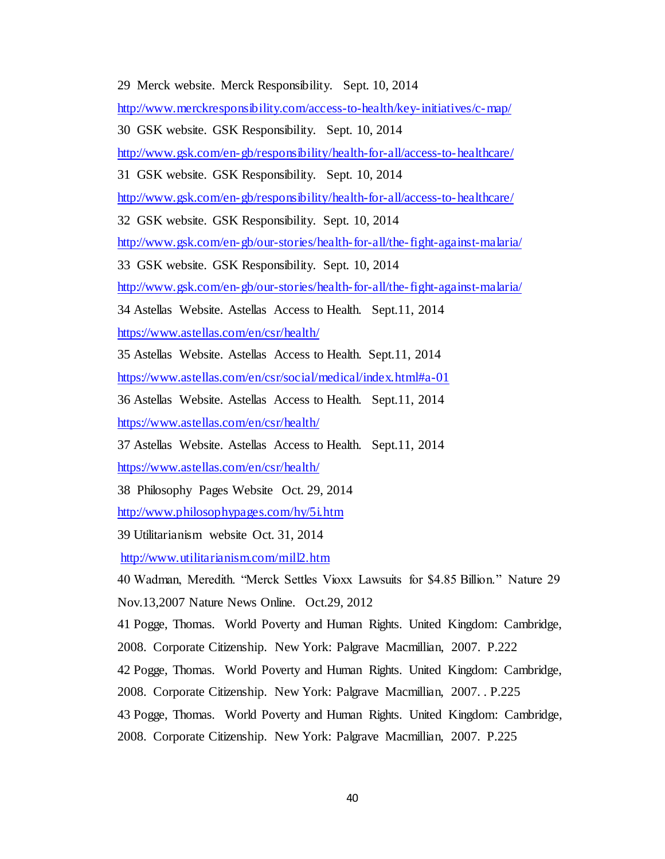29 Merck website. Merck Responsibility. Sept. 10, 2014

<http://www.merckresponsibility.com/access-to-health/key-initiatives/c-map/>

30 GSK website. GSK Responsibility. Sept. 10, 2014

<http://www.gsk.com/en-gb/responsibility/health-for-all/access-to-healthcare/>

31 GSK website. GSK Responsibility. Sept. 10, 2014

<http://www.gsk.com/en-gb/responsibility/health-for-all/access-to-healthcare/>

32 GSK website. GSK Responsibility. Sept. 10, 2014

<http://www.gsk.com/en-gb/our-stories/health-for-all/the-fight-against-malaria/>

33 GSK website. GSK Responsibility. Sept. 10, 2014

<http://www.gsk.com/en-gb/our-stories/health-for-all/the-fight-against-malaria/>

34 Astellas Website. Astellas Access to Health. Sept.11, 2014

<https://www.astellas.com/en/csr/health/>

35 Astellas Website. Astellas Access to Health. Sept.11, 2014 <https://www.astellas.com/en/csr/social/medical/index.html#a-01>

36 Astellas Website. Astellas Access to Health. Sept.11, 2014 <https://www.astellas.com/en/csr/health/>

37 Astellas Website. Astellas Access to Health. Sept.11, 2014 <https://www.astellas.com/en/csr/health/>

38 Philosophy Pages Website Oct. 29, 2014

<http://www.philosophypages.com/hy/5i.htm>

39 Utilitarianism website Oct. 31, 2014

<http://www.utilitarianism.com/mill2.htm>

40 Wadman, Meredith. "Merck Settles Vioxx Lawsuits for \$4.85 Billion." Nature 29 Nov.13,2007 Nature News Online. Oct.29, 2012

41 Pogge, Thomas. World Poverty and Human Rights. United Kingdom: Cambridge,

2008. Corporate Citizenship. New York: Palgrave Macmillian, 2007. P.222

42 Pogge, Thomas. World Poverty and Human Rights. United Kingdom: Cambridge,

2008. Corporate Citizenship. New York: Palgrave Macmillian, 2007. . P.225

43 Pogge, Thomas. World Poverty and Human Rights. United Kingdom: Cambridge,

2008. Corporate Citizenship. New York: Palgrave Macmillian, 2007. P.225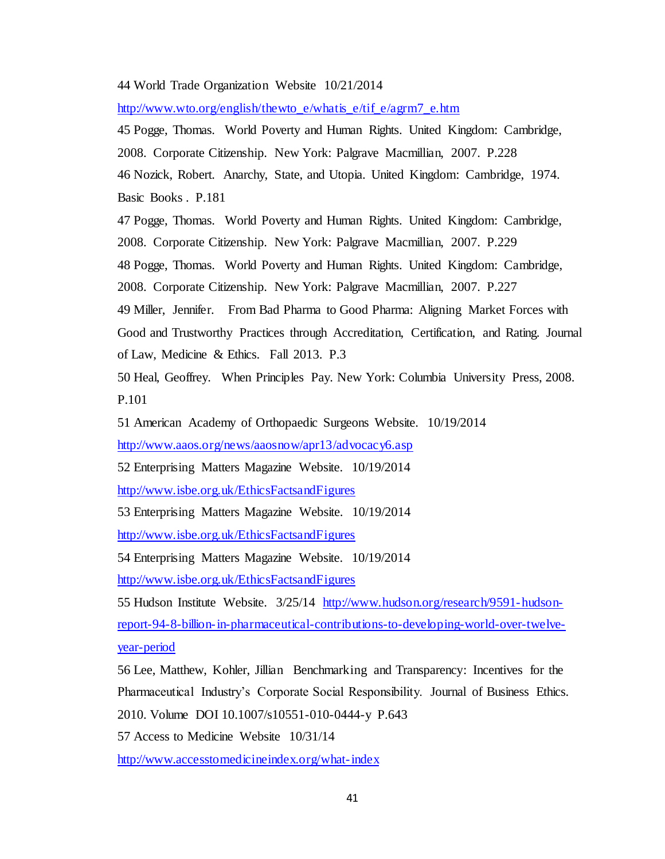### 44 World Trade Organization Website 10/21/2014

[http://www.wto.org/english/thewto\\_e/whatis\\_e/tif\\_e/agrm7\\_e.htm](http://www.wto.org/english/thewto_e/whatis_e/tif_e/agrm7_e.htm)

45 Pogge, Thomas. World Poverty and Human Rights. United Kingdom: Cambridge, 2008. Corporate Citizenship. New York: Palgrave Macmillian, 2007. P.228 46 Nozick, Robert. Anarchy, State, and Utopia. United Kingdom: Cambridge, 1974. Basic Books . P.181

47 Pogge, Thomas. World Poverty and Human Rights. United Kingdom: Cambridge, 2008. Corporate Citizenship. New York: Palgrave Macmillian, 2007. P.229

48 Pogge, Thomas. World Poverty and Human Rights. United Kingdom: Cambridge,

2008. Corporate Citizenship. New York: Palgrave Macmillian, 2007. P.227

49 Miller, Jennifer. From Bad Pharma to Good Pharma: Aligning Market Forces with Good and Trustworthy Practices through Accreditation, Certification, and Rating. Journal of Law, Medicine & Ethics. Fall 2013. P.3

50 Heal, Geoffrey. When Principles Pay. New York: Columbia University Press, 2008. P.101

51 American Academy of Orthopaedic Surgeons Website. 10/19/2014

<http://www.aaos.org/news/aaosnow/apr13/advocacy6.asp>

52 Enterprising Matters Magazine Website. 10/19/2014

<http://www.isbe.org.uk/EthicsFactsandFigures>

53 Enterprising Matters Magazine Website. 10/19/2014

<http://www.isbe.org.uk/EthicsFactsandFigures>

54 Enterprising Matters Magazine Website. 10/19/2014 <http://www.isbe.org.uk/EthicsFactsandFigures>

55 Hudson Institute Website. 3/25/14 [http://www.hudson.org/research/9591-hudson](http://www.hudson.org/research/9591-hudson-report-94-8-billion-in-pharmaceutical-contributions-to-developing-world-over-twelve-year-period)[report-94-8-billion-in-pharmaceutical-contributions-to-developing-world-over-twelve](http://www.hudson.org/research/9591-hudson-report-94-8-billion-in-pharmaceutical-contributions-to-developing-world-over-twelve-year-period)[year-period](http://www.hudson.org/research/9591-hudson-report-94-8-billion-in-pharmaceutical-contributions-to-developing-world-over-twelve-year-period)

56 Lee, Matthew, Kohler, Jillian Benchmarking and Transparency: Incentives for the Pharmaceutical Industry's Corporate Social Responsibility. Journal of Business Ethics. 2010. Volume DOI 10.1007/s10551-010-0444-y P.643

57 Access to Medicine Website 10/31/14

<http://www.accesstomedicineindex.org/what-index>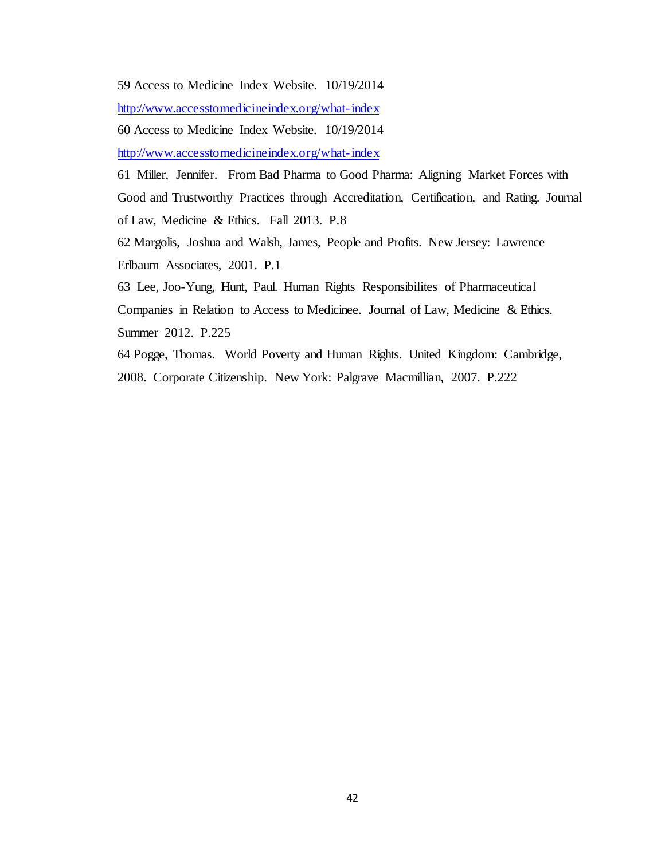59 Access to Medicine Index Website. 10/19/2014

<http://www.accesstomedicineindex.org/what-index>

60 Access to Medicine Index Website. 10/19/2014

<http://www.accesstomedicineindex.org/what-index>

61 Miller, Jennifer. From Bad Pharma to Good Pharma: Aligning Market Forces with Good and Trustworthy Practices through Accreditation, Certification, and Rating. Journal of Law, Medicine & Ethics. Fall 2013. P.8

62 Margolis, Joshua and Walsh, James, People and Profits. New Jersey: Lawrence Erlbaum Associates, 2001. P.1

63 Lee, Joo-Yung, Hunt, Paul. Human Rights Responsibilites of Pharmaceutical Companies in Relation to Access to Medicinee. Journal of Law, Medicine & Ethics. Summer 2012. P.225

64 Pogge, Thomas. World Poverty and Human Rights. United Kingdom: Cambridge, 2008. Corporate Citizenship. New York: Palgrave Macmillian, 2007. P.222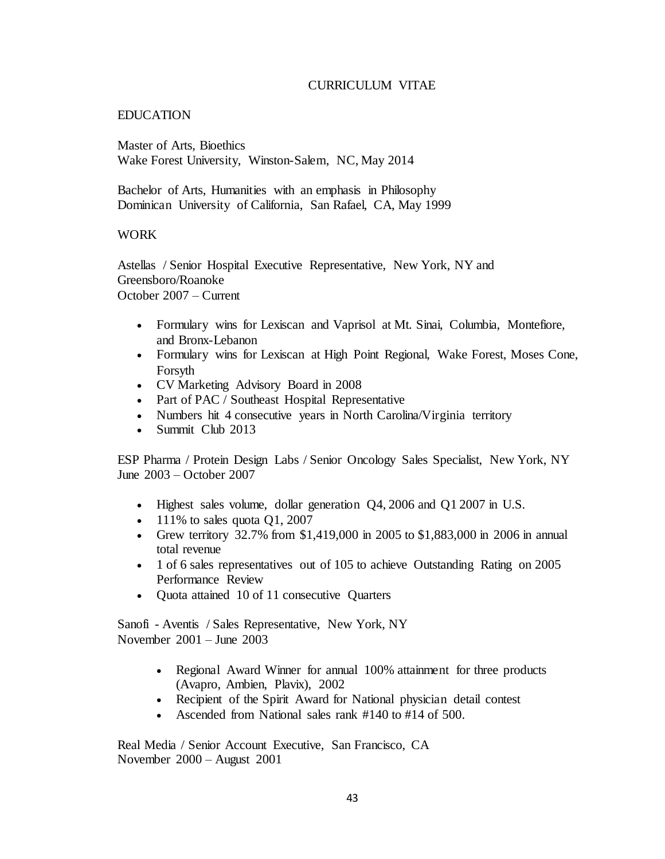## CURRICULUM VITAE

## EDUCATION

Master of Arts, Bioethics Wake Forest University, Winston-Salem, NC, May 2014

Bachelor of Arts, Humanities with an emphasis in Philosophy Dominican University of California, San Rafael, CA, May 1999

## WORK

Astellas / Senior Hospital Executive Representative, New York, NY and Greensboro/Roanoke October 2007 – Current

- Formulary wins for Lexiscan and Vaprisol at Mt. Sinai, Columbia, Montefiore, and Bronx-Lebanon
- Formulary wins for Lexiscan at High Point Regional, Wake Forest, Moses Cone, Forsyth
- CV Marketing Advisory Board in 2008
- Part of PAC / Southeast Hospital Representative
- Numbers hit 4 consecutive years in North Carolina/Virginia territory
- Summit Club 2013

ESP Pharma / Protein Design Labs / Senior Oncology Sales Specialist, New York, NY June 2003 – October 2007

- Highest sales volume, dollar generation Q4, 2006 and Q1 2007 in U.S.
- $\bullet$  111% to sales quota Q1, 2007
- Grew territory 32.7% from \$1,419,000 in 2005 to \$1,883,000 in 2006 in annual total revenue
- 1 of 6 sales representatives out of 105 to achieve Outstanding Rating on 2005 Performance Review
- Quota attained 10 of 11 consecutive Quarters

Sanofi - Aventis / Sales Representative, New York, NY November 2001 – June 2003

- Regional Award Winner for annual 100% attainment for three products (Avapro, Ambien, Plavix), 2002
- Recipient of the Spirit Award for National physician detail contest
- Ascended from National sales rank #140 to #14 of 500.

Real Media / Senior Account Executive, San Francisco, CA November 2000 – August 2001